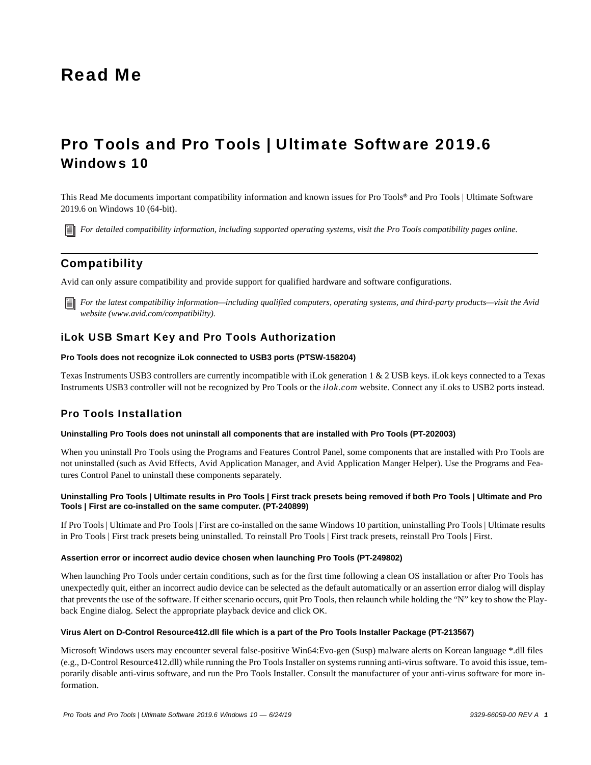# Read Me

# Pro Tools and Pro Tools | Ultimate Software 2019.6 Windows 10

This Read Me documents important compatibility information and known issues for Pro Tools*®* and Pro Tools | Ultimate Software 2019.6 on Windows 10 (64-bit).

*[For detailed compatibility information, including supported operating systems, visit the Pro Tools compatibility pages online.](http://avid.force.com/pkb/articles/Compatibility/Pro-Tools-12-System-Requirements)*

# Compatibility

Avid can only assure compatibility and provide support for qualified hardware and software configurations.

*[For the latest compatibility information—including qualified computers, operating systems, and third-party products—visit the Avid](http://www.avid.com/compatibility)  website (www.avid.com/compatibility).*

# iLok USB Smart Key and Pro Tools Authorization

#### **Pro Tools does not recognize iLok connected to USB3 ports (PTSW-158204)**

Texas Instruments USB3 controllers are currently incompatible with iLok generation 1 & 2 USB keys. iLok keys connected to a Texas Instruments USB3 controller will not be recognized by Pro Tools or the *ilok.com* website. Connect any iLoks to USB2 ports instead.

# Pro Tools Installation

#### **Uninstalling Pro Tools does not uninstall all components that are installed with Pro Tools (PT-202003)**

When you uninstall Pro Tools using the Programs and Features Control Panel, some components that are installed with Pro Tools are not uninstalled (such as Avid Effects, Avid Application Manager, and Avid Application Manger Helper). Use the Programs and Features Control Panel to uninstall these components separately.

#### **Uninstalling Pro Tools | Ultimate results in Pro Tools | First track presets being removed if both Pro Tools | Ultimate and Pro Tools | First are co-installed on the same computer. (PT-240899)**

If Pro Tools | Ultimate and Pro Tools | First are co-installed on the same Windows 10 partition, uninstalling Pro Tools | Ultimate results in Pro Tools | First track presets being uninstalled. To reinstall Pro Tools | First track presets, reinstall Pro Tools | First.

#### **Assertion error or incorrect audio device chosen when launching Pro Tools (PT-249802)**

When launching Pro Tools under certain conditions, such as for the first time following a clean OS installation or after Pro Tools has unexpectedly quit, either an incorrect audio device can be selected as the default automatically or an assertion error dialog will display that prevents the use of the software. If either scenario occurs, quit Pro Tools, then relaunch while holding the "N" key to show the Playback Engine dialog. Select the appropriate playback device and click OK.

#### **Virus Alert on D-Control Resource412.dll file which is a part of the Pro Tools Installer Package (PT-213567)**

Microsoft Windows users may encounter several false-positive Win64:Evo-gen (Susp) malware alerts on Korean language \*.dll files (e.g., D-Control Resource412.dll) while running the Pro Tools Installer on systems running anti-virus software. To avoid this issue, temporarily disable anti-virus software, and run the Pro Tools Installer. Consult the manufacturer of your anti-virus software for more information.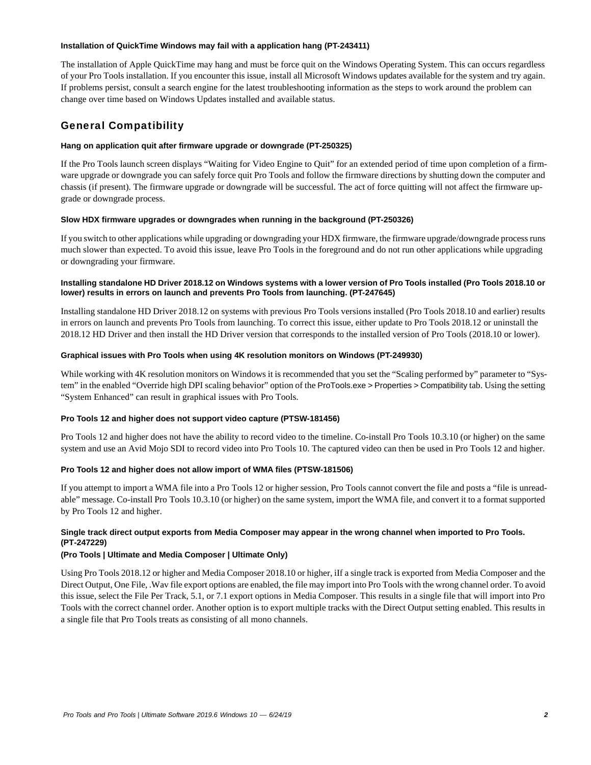#### **Installation of QuickTime Windows may fail with a application hang (PT-243411)**

The installation of Apple QuickTime may hang and must be force quit on the Windows Operating System. This can occurs regardless of your Pro Tools installation. If you encounter this issue, install all Microsoft Windows updates available for the system and try again. If problems persist, consult a search engine for the latest troubleshooting information as the steps to work around the problem can change over time based on Windows Updates installed and available status.

# General Compatibility

# **Hang on application quit after firmware upgrade or downgrade (PT-250325)**

If the Pro Tools launch screen displays "Waiting for Video Engine to Quit" for an extended period of time upon completion of a firmware upgrade or downgrade you can safely force quit Pro Tools and follow the firmware directions by shutting down the computer and chassis (if present). The firmware upgrade or downgrade will be successful. The act of force quitting will not affect the firmware upgrade or downgrade process.

# **Slow HDX firmware upgrades or downgrades when running in the background (PT-250326)**

If you switch to other applications while upgrading or downgrading your HDX firmware, the firmware upgrade/downgrade process runs much slower than expected. To avoid this issue, leave Pro Tools in the foreground and do not run other applications while upgrading or downgrading your firmware.

# **Installing standalone HD Driver 2018.12 on Windows systems with a lower version of Pro Tools installed (Pro Tools 2018.10 or lower) results in errors on launch and prevents Pro Tools from launching. (PT-247645)**

Installing standalone HD Driver 2018.12 on systems with previous Pro Tools versions installed (Pro Tools 2018.10 and earlier) results in errors on launch and prevents Pro Tools from launching. To correct this issue, either update to Pro Tools 2018.12 or uninstall the 2018.12 HD Driver and then install the HD Driver version that corresponds to the installed version of Pro Tools (2018.10 or lower).

# **Graphical issues with Pro Tools when using 4K resolution monitors on Windows (PT-249930)**

While working with 4K resolution monitors on Windows it is recommended that you set the "Scaling performed by" parameter to "System" in the enabled "Override high DPI scaling behavior" option of the ProTools.exe > Properties > Compatibility tab. Using the setting "System Enhanced" can result in graphical issues with Pro Tools.

# **Pro Tools 12 and higher does not support video capture (PTSW-181456)**

Pro Tools 12 and higher does not have the ability to record video to the timeline. Co-install Pro Tools 10.3.10 (or higher) on the same system and use an Avid Mojo SDI to record video into Pro Tools 10. The captured video can then be used in Pro Tools 12 and higher.

# **Pro Tools 12 and higher does not allow import of WMA files (PTSW-181506)**

If you attempt to import a WMA file into a Pro Tools 12 or higher session, Pro Tools cannot convert the file and posts a "file is unreadable" message. Co-install Pro Tools 10.3.10 (or higher) on the same system, import the WMA file, and convert it to a format supported by Pro Tools 12 and higher.

# **Single track direct output exports from Media Composer may appear in the wrong channel when imported to Pro Tools. (PT-247229)**

# **(Pro Tools | Ultimate and Media Composer | Ultimate Only)**

Using Pro Tools 2018.12 or higher and Media Composer 2018.10 or higher, iIf a single track is exported from Media Composer and the Direct Output, One File, .Wav file export options are enabled, the file may import into Pro Tools with the wrong channel order. To avoid this issue, select the File Per Track, 5.1, or 7.1 export options in Media Composer. This results in a single file that will import into Pro Tools with the correct channel order. Another option is to export multiple tracks with the Direct Output setting enabled. This results in a single file that Pro Tools treats as consisting of all mono channels.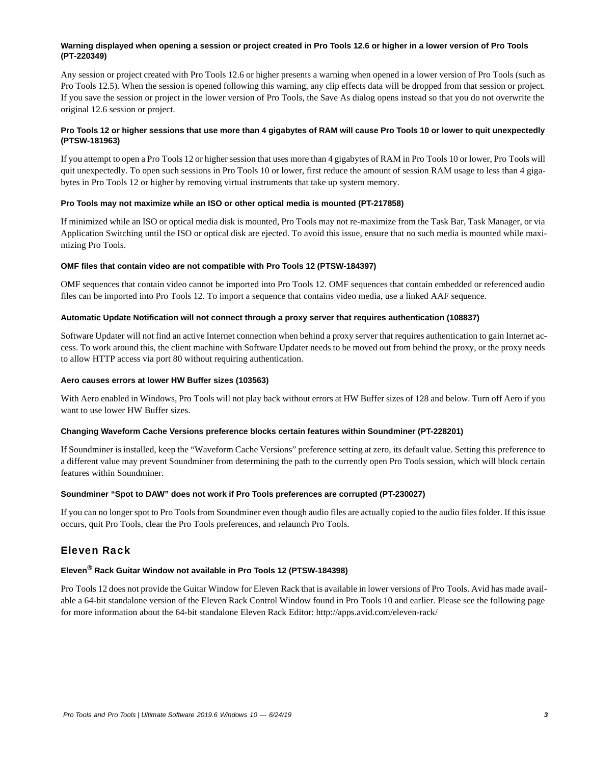# **Warning displayed when opening a session or project created in Pro Tools 12.6 or higher in a lower version of Pro Tools (PT-220349)**

Any session or project created with Pro Tools 12.6 or higher presents a warning when opened in a lower version of Pro Tools (such as Pro Tools 12.5). When the session is opened following this warning, any clip effects data will be dropped from that session or project. If you save the session or project in the lower version of Pro Tools, the Save As dialog opens instead so that you do not overwrite the original 12.6 session or project.

# **Pro Tools 12 or higher sessions that use more than 4 gigabytes of RAM will cause Pro Tools 10 or lower to quit unexpectedly (PTSW-181963)**

If you attempt to open a Pro Tools 12 or higher session that uses more than 4 gigabytes of RAM in Pro Tools 10 or lower, Pro Tools will quit unexpectedly. To open such sessions in Pro Tools 10 or lower, first reduce the amount of session RAM usage to less than 4 gigabytes in Pro Tools 12 or higher by removing virtual instruments that take up system memory.

# **Pro Tools may not maximize while an ISO or other optical media is mounted (PT-217858)**

If minimized while an ISO or optical media disk is mounted, Pro Tools may not re-maximize from the Task Bar, Task Manager, or via Application Switching until the ISO or optical disk are ejected. To avoid this issue, ensure that no such media is mounted while maximizing Pro Tools.

#### **OMF files that contain video are not compatible with Pro Tools 12 (PTSW-184397)**

OMF sequences that contain video cannot be imported into Pro Tools 12. OMF sequences that contain embedded or referenced audio files can be imported into Pro Tools 12. To import a sequence that contains video media, use a linked AAF sequence.

### **Automatic Update Notification will not connect through a proxy server that requires authentication (108837)**

Software Updater will not find an active Internet connection when behind a proxy server that requires authentication to gain Internet access. To work around this, the client machine with Software Updater needs to be moved out from behind the proxy, or the proxy needs to allow HTTP access via port 80 without requiring authentication.

#### **Aero causes errors at lower HW Buffer sizes (103563)**

With Aero enabled in Windows, Pro Tools will not play back without errors at HW Buffer sizes of 128 and below. Turn off Aero if you want to use lower HW Buffer sizes.

# **Changing Waveform Cache Versions preference blocks certain features within Soundminer (PT-228201)**

If Soundminer is installed, keep the "Waveform Cache Versions" preference setting at zero, its default value. Setting this preference to a different value may prevent Soundminer from determining the path to the currently open Pro Tools session, which will block certain features within Soundminer.

# **Soundminer "Spot to DAW" does not work if Pro Tools preferences are corrupted (PT-230027)**

If you can no longer spot to Pro Tools from Soundminer even though audio files are actually copied to the audio files folder. If this issue occurs, quit Pro Tools, clear the Pro Tools preferences, and relaunch Pro Tools.

# Eleven Rack

# **Eleven® Rack Guitar Window not available in Pro Tools 12 (PTSW-184398)**

Pro Tools 12 does not provide the Guitar Window for Eleven Rack that is available in lower versions of Pro Tools. Avid has made available a 64-bit standalone version of the Eleven Rack Control Window found in Pro Tools 10 and earlier. Please see the following page for more information about the 64-bit standalone Eleven Rack Editor: http://apps.avid.com/eleven-rack/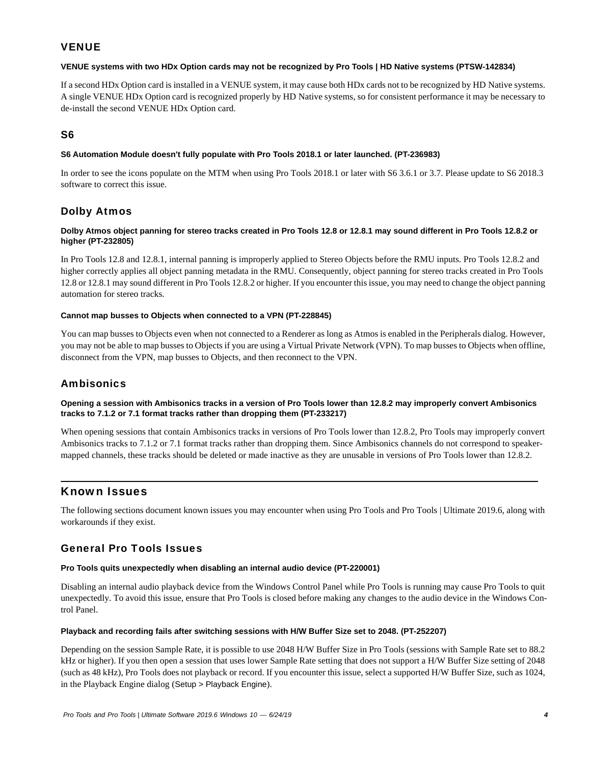# **VENUE**

# **VENUE systems with two HDx Option cards may not be recognized by Pro Tools | HD Native systems (PTSW-142834)**

If a second HDx Option card is installed in a VENUE system, it may cause both HDx cards not to be recognized by HD Native systems. A single VENUE HDx Option card is recognized properly by HD Native systems, so for consistent performance it may be necessary to de-install the second VENUE HDx Option card.

# S6

# **S6 Automation Module doesn't fully populate with Pro Tools 2018.1 or later launched. (PT-236983)**

In order to see the icons populate on the MTM when using Pro Tools 2018.1 or later with S6 3.6.1 or 3.7. Please update to S6 2018.3 software to correct this issue.

# Dolby Atmos

# **Dolby Atmos object panning for stereo tracks created in Pro Tools 12.8 or 12.8.1 may sound different in Pro Tools 12.8.2 or higher (PT-232805)**

In Pro Tools 12.8 and 12.8.1, internal panning is improperly applied to Stereo Objects before the RMU inputs. Pro Tools 12.8.2 and higher correctly applies all object panning metadata in the RMU. Consequently, object panning for stereo tracks created in Pro Tools 12.8 or 12.8.1 may sound different in Pro Tools 12.8.2 or higher. If you encounter this issue, you may need to change the object panning automation for stereo tracks.

#### **Cannot map busses to Objects when connected to a VPN (PT-228845)**

You can map busses to Objects even when not connected to a Renderer as long as Atmos is enabled in the Peripherals dialog. However, you may not be able to map busses to Objects if you are using a Virtual Private Network (VPN). To map busses to Objects when offline, disconnect from the VPN, map busses to Objects, and then reconnect to the VPN.

# **Ambisonics**

#### **Opening a session with Ambisonics tracks in a version of Pro Tools lower than 12.8.2 may improperly convert Ambisonics tracks to 7.1.2 or 7.1 format tracks rather than dropping them (PT-233217)**

When opening sessions that contain Ambisonics tracks in versions of Pro Tools lower than 12.8.2, Pro Tools may improperly convert Ambisonics tracks to 7.1.2 or 7.1 format tracks rather than dropping them. Since Ambisonics channels do not correspond to speakermapped channels, these tracks should be deleted or made inactive as they are unusable in versions of Pro Tools lower than 12.8.2.

# Known Issues

The following sections document known issues you may encounter when using Pro Tools and Pro Tools | Ultimate 2019.6, along with workarounds if they exist.

# General Pro Tools Issues

#### **Pro Tools quits unexpectedly when disabling an internal audio device (PT-220001)**

Disabling an internal audio playback device from the Windows Control Panel while Pro Tools is running may cause Pro Tools to quit unexpectedly. To avoid this issue, ensure that Pro Tools is closed before making any changes to the audio device in the Windows Control Panel.

#### **Playback and recording fails after switching sessions with H/W Buffer Size set to 2048. (PT-252207)**

Depending on the session Sample Rate, it is possible to use 2048 H/W Buffer Size in Pro Tools (sessions with Sample Rate set to 88.2 kHz or higher). If you then open a session that uses lower Sample Rate setting that does not support a H/W Buffer Size setting of 2048 (such as 48 kHz), Pro Tools does not playback or record. If you encounter this issue, select a supported H/W Buffer Size, such as 1024, in the Playback Engine dialog (Setup > Playback Engine).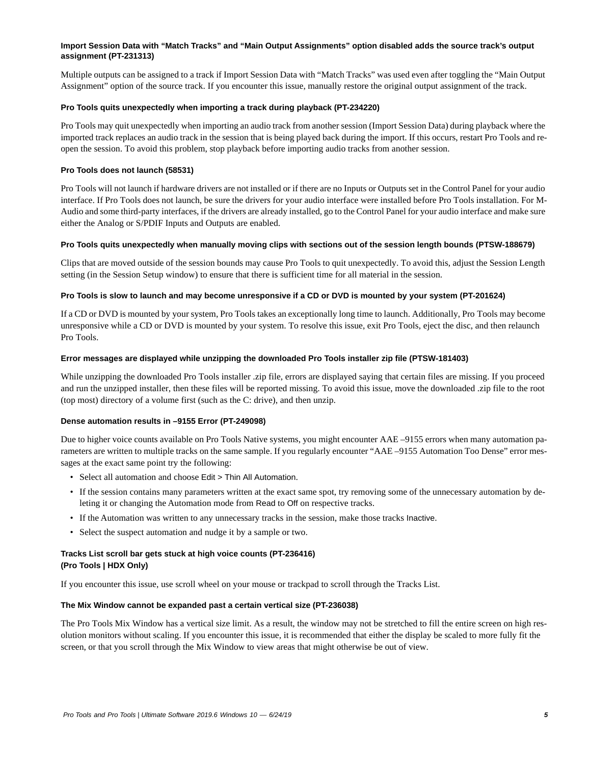### **Import Session Data with "Match Tracks" and "Main Output Assignments" option disabled adds the source track's output assignment (PT-231313)**

Multiple outputs can be assigned to a track if Import Session Data with "Match Tracks" was used even after toggling the "Main Output Assignment" option of the source track. If you encounter this issue, manually restore the original output assignment of the track.

#### **Pro Tools quits unexpectedly when importing a track during playback (PT-234220)**

Pro Tools may quit unexpectedly when importing an audio track from another session (Import Session Data) during playback where the imported track replaces an audio track in the session that is being played back during the import. If this occurs, restart Pro Tools and reopen the session. To avoid this problem, stop playback before importing audio tracks from another session.

### **Pro Tools does not launch (58531)**

Pro Tools will not launch if hardware drivers are not installed or if there are no Inputs or Outputs set in the Control Panel for your audio interface. If Pro Tools does not launch, be sure the drivers for your audio interface were installed before Pro Tools installation. For M-Audio and some third-party interfaces, if the drivers are already installed, go to the Control Panel for your audio interface and make sure either the Analog or S/PDIF Inputs and Outputs are enabled.

#### **Pro Tools quits unexpectedly when manually moving clips with sections out of the session length bounds (PTSW-188679)**

Clips that are moved outside of the session bounds may cause Pro Tools to quit unexpectedly. To avoid this, adjust the Session Length setting (in the Session Setup window) to ensure that there is sufficient time for all material in the session.

#### **Pro Tools is slow to launch and may become unresponsive if a CD or DVD is mounted by your system (PT-201624)**

If a CD or DVD is mounted by your system, Pro Tools takes an exceptionally long time to launch. Additionally, Pro Tools may become unresponsive while a CD or DVD is mounted by your system. To resolve this issue, exit Pro Tools, eject the disc, and then relaunch Pro Tools.

#### **Error messages are displayed while unzipping the downloaded Pro Tools installer zip file (PTSW-181403)**

While unzipping the downloaded Pro Tools installer .zip file, errors are displayed saying that certain files are missing. If you proceed and run the unzipped installer, then these files will be reported missing. To avoid this issue, move the downloaded .zip file to the root (top most) directory of a volume first (such as the C: drive), and then unzip.

# **Dense automation results in –9155 Error (PT-249098)**

Due to higher voice counts available on Pro Tools Native systems, you might encounter AAE –9155 errors when many automation parameters are written to multiple tracks on the same sample. If you regularly encounter "AAE –9155 Automation Too Dense" error messages at the exact same point try the following:

- Select all automation and choose Edit > Thin All Automation.
- If the session contains many parameters written at the exact same spot, try removing some of the unnecessary automation by deleting it or changing the Automation mode from Read to Off on respective tracks.
- If the Automation was written to any unnecessary tracks in the session, make those tracks Inactive.
- Select the suspect automation and nudge it by a sample or two.

# **Tracks List scroll bar gets stuck at high voice counts (PT-236416) (Pro Tools | HDX Only)**

If you encounter this issue, use scroll wheel on your mouse or trackpad to scroll through the Tracks List.

#### **The Mix Window cannot be expanded past a certain vertical size (PT-236038)**

The Pro Tools Mix Window has a vertical size limit. As a result, the window may not be stretched to fill the entire screen on high resolution monitors without scaling. If you encounter this issue, it is recommended that either the display be scaled to more fully fit the screen, or that you scroll through the Mix Window to view areas that might otherwise be out of view.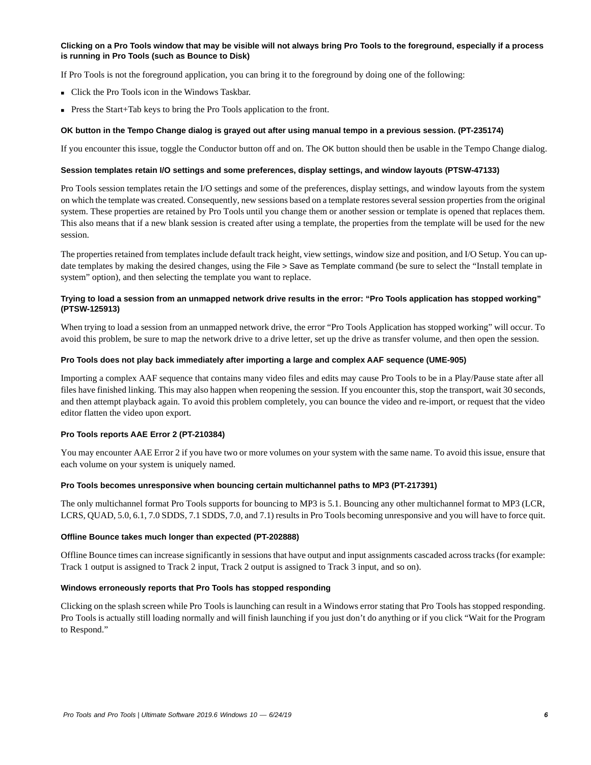# **Clicking on a Pro Tools window that may be visible will not always bring Pro Tools to the foreground, especially if a process is running in Pro Tools (such as Bounce to Disk)**

If Pro Tools is not the foreground application, you can bring it to the foreground by doing one of the following:

- Click the Pro Tools icon in the Windows Taskbar.
- Press the Start+Tab keys to bring the Pro Tools application to the front.

#### **OK button in the Tempo Change dialog is grayed out after using manual tempo in a previous session. (PT-235174)**

If you encounter this issue, toggle the Conductor button off and on. The OK button should then be usable in the Tempo Change dialog.

#### **Session templates retain I/O settings and some preferences, display settings, and window layouts (PTSW-47133)**

Pro Tools session templates retain the I/O settings and some of the preferences, display settings, and window layouts from the system on which the template was created. Consequently, new sessions based on a template restores several session properties from the original system. These properties are retained by Pro Tools until you change them or another session or template is opened that replaces them. This also means that if a new blank session is created after using a template, the properties from the template will be used for the new session.

The properties retained from templates include default track height, view settings, window size and position, and I/O Setup. You can update templates by making the desired changes, using the File > Save as Template command (be sure to select the "Install template in system" option), and then selecting the template you want to replace.

# **Trying to load a session from an unmapped network drive results in the error: "Pro Tools application has stopped working" (PTSW-125913)**

When trying to load a session from an unmapped network drive, the error "Pro Tools Application has stopped working" will occur. To avoid this problem, be sure to map the network drive to a drive letter, set up the drive as transfer volume, and then open the session.

#### **Pro Tools does not play back immediately after importing a large and complex AAF sequence (UME-905)**

Importing a complex AAF sequence that contains many video files and edits may cause Pro Tools to be in a Play/Pause state after all files have finished linking. This may also happen when reopening the session. If you encounter this, stop the transport, wait 30 seconds, and then attempt playback again. To avoid this problem completely, you can bounce the video and re-import, or request that the video editor flatten the video upon export.

#### **Pro Tools reports AAE Error 2 (PT-210384)**

You may encounter AAE Error 2 if you have two or more volumes on your system with the same name. To avoid this issue, ensure that each volume on your system is uniquely named.

#### **Pro Tools becomes unresponsive when bouncing certain multichannel paths to MP3 (PT-217391)**

The only multichannel format Pro Tools supports for bouncing to MP3 is 5.1. Bouncing any other multichannel format to MP3 (LCR, LCRS, QUAD, 5.0, 6.1, 7.0 SDDS, 7.1 SDDS, 7.0, and 7.1) results in Pro Tools becoming unresponsive and you will have to force quit.

#### **Offline Bounce takes much longer than expected (PT-202888)**

Offline Bounce times can increase significantly in sessions that have output and input assignments cascaded across tracks (for example: Track 1 output is assigned to Track 2 input, Track 2 output is assigned to Track 3 input, and so on).

#### **Windows erroneously reports that Pro Tools has stopped responding**

Clicking on the splash screen while Pro Tools is launching can result in a Windows error stating that Pro Tools has stopped responding. Pro Tools is actually still loading normally and will finish launching if you just don't do anything or if you click "Wait for the Program to Respond."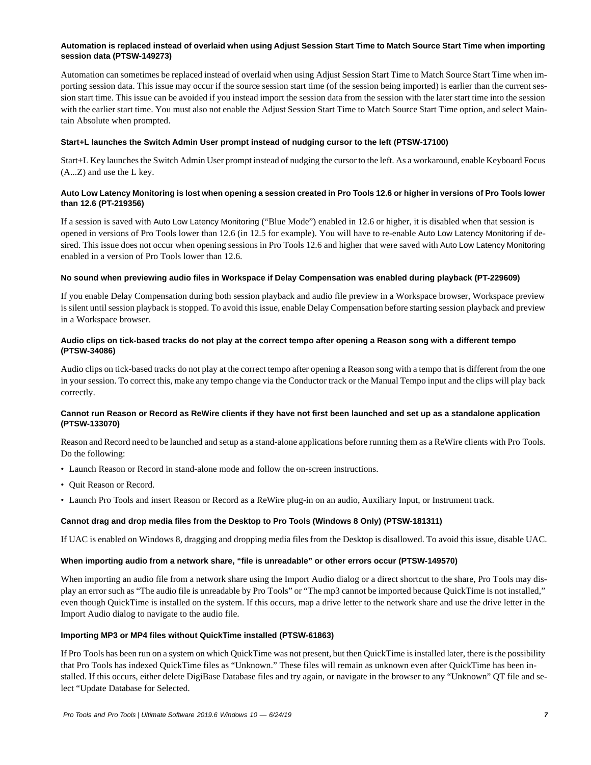# **Automation is replaced instead of overlaid when using Adjust Session Start Time to Match Source Start Time when importing session data (PTSW-149273)**

Automation can sometimes be replaced instead of overlaid when using Adjust Session Start Time to Match Source Start Time when importing session data. This issue may occur if the source session start time (of the session being imported) is earlier than the current session start time. This issue can be avoided if you instead import the session data from the session with the later start time into the session with the earlier start time. You must also not enable the Adjust Session Start Time to Match Source Start Time option, and select Maintain Absolute when prompted.

#### **Start+L launches the Switch Admin User prompt instead of nudging cursor to the left (PTSW-17100)**

Start+L Key launches the Switch Admin User prompt instead of nudging the cursor to the left. As a workaround, enable Keyboard Focus (A...Z) and use the L key.

### **Auto Low Latency Monitoring is lost when opening a session created in Pro Tools 12.6 or higher in versions of Pro Tools lower than 12.6 (PT-219356)**

If a session is saved with Auto Low Latency Monitoring ("Blue Mode") enabled in 12.6 or higher, it is disabled when that session is opened in versions of Pro Tools lower than 12.6 (in 12.5 for example). You will have to re-enable Auto Low Latency Monitoring if desired. This issue does not occur when opening sessions in Pro Tools 12.6 and higher that were saved with Auto Low Latency Monitoring enabled in a version of Pro Tools lower than 12.6.

#### **No sound when previewing audio files in Workspace if Delay Compensation was enabled during playback (PT-229609)**

If you enable Delay Compensation during both session playback and audio file preview in a Workspace browser, Workspace preview is silent until session playback is stopped. To avoid this issue, enable Delay Compensation before starting session playback and preview in a Workspace browser.

#### **Audio clips on tick-based tracks do not play at the correct tempo after opening a Reason song with a different tempo (PTSW-34086)**

Audio clips on tick-based tracks do not play at the correct tempo after opening a Reason song with a tempo that is different from the one in your session. To correct this, make any tempo change via the Conductor track or the Manual Tempo input and the clips will play back correctly.

# **Cannot run Reason or Record as ReWire clients if they have not first been launched and set up as a standalone application (PTSW-133070)**

Reason and Record need to be launched and setup as a stand-alone applications before running them as a ReWire clients with Pro Tools. Do the following:

- Launch Reason or Record in stand-alone mode and follow the on-screen instructions.
- Quit Reason or Record.
- Launch Pro Tools and insert Reason or Record as a ReWire plug-in on an audio, Auxiliary Input, or Instrument track.

# **Cannot drag and drop media files from the Desktop to Pro Tools (Windows 8 Only) (PTSW-181311)**

If UAC is enabled on Windows 8, dragging and dropping media files from the Desktop is disallowed. To avoid this issue, disable UAC.

#### **When importing audio from a network share, "file is unreadable" or other errors occur (PTSW-149570)**

When importing an audio file from a network share using the Import Audio dialog or a direct shortcut to the share, Pro Tools may display an error such as "The audio file is unreadable by Pro Tools" or "The mp3 cannot be imported because QuickTime is not installed," even though QuickTime is installed on the system. If this occurs, map a drive letter to the network share and use the drive letter in the Import Audio dialog to navigate to the audio file.

#### **Importing MP3 or MP4 files without QuickTime installed (PTSW-61863)**

If Pro Tools has been run on a system on which QuickTime was not present, but then QuickTime is installed later, there is the possibility that Pro Tools has indexed QuickTime files as "Unknown." These files will remain as unknown even after QuickTime has been installed. If this occurs, either delete DigiBase Database files and try again, or navigate in the browser to any "Unknown" QT file and select "Update Database for Selected.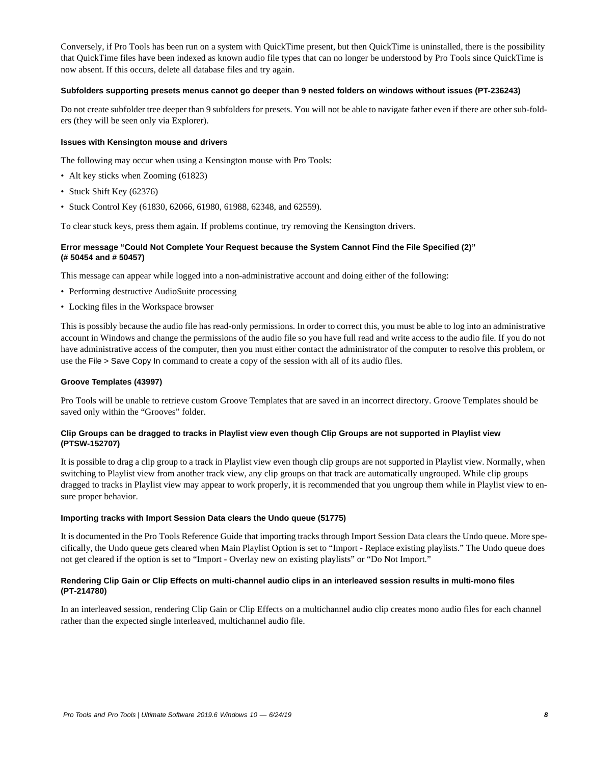Conversely, if Pro Tools has been run on a system with QuickTime present, but then QuickTime is uninstalled, there is the possibility that QuickTime files have been indexed as known audio file types that can no longer be understood by Pro Tools since QuickTime is now absent. If this occurs, delete all database files and try again.

#### **Subfolders supporting presets menus cannot go deeper than 9 nested folders on windows without issues (PT-236243)**

Do not create subfolder tree deeper than 9 subfolders for presets. You will not be able to navigate father even if there are other sub-folders (they will be seen only via Explorer).

#### **Issues with Kensington mouse and drivers**

The following may occur when using a Kensington mouse with Pro Tools:

- Alt key sticks when Zooming (61823)
- Stuck Shift Key (62376)
- Stuck Control Key (61830, 62066, 61980, 61988, 62348, and 62559).

To clear stuck keys, press them again. If problems continue, try removing the Kensington drivers.

### **Error message "Could Not Complete Your Request because the System Cannot Find the File Specified (2)" (# 50454 and # 50457)**

This message can appear while logged into a non-administrative account and doing either of the following:

- Performing destructive AudioSuite processing
- Locking files in the Workspace browser

This is possibly because the audio file has read-only permissions. In order to correct this, you must be able to log into an administrative account in Windows and change the permissions of the audio file so you have full read and write access to the audio file. If you do not have administrative access of the computer, then you must either contact the administrator of the computer to resolve this problem, or use the File > Save Copy In command to create a copy of the session with all of its audio files.

#### **Groove Templates (43997)**

Pro Tools will be unable to retrieve custom Groove Templates that are saved in an incorrect directory. Groove Templates should be saved only within the "Grooves" folder.

#### **Clip Groups can be dragged to tracks in Playlist view even though Clip Groups are not supported in Playlist view (PTSW-152707)**

It is possible to drag a clip group to a track in Playlist view even though clip groups are not supported in Playlist view. Normally, when switching to Playlist view from another track view, any clip groups on that track are automatically ungrouped. While clip groups dragged to tracks in Playlist view may appear to work properly, it is recommended that you ungroup them while in Playlist view to ensure proper behavior.

#### **Importing tracks with Import Session Data clears the Undo queue (51775)**

It is documented in the Pro Tools Reference Guide that importing tracks through Import Session Data clears the Undo queue. More specifically, the Undo queue gets cleared when Main Playlist Option is set to "Import - Replace existing playlists." The Undo queue does not get cleared if the option is set to "Import - Overlay new on existing playlists" or "Do Not Import."

#### **Rendering Clip Gain or Clip Effects on multi-channel audio clips in an interleaved session results in multi-mono files (PT-214780)**

In an interleaved session, rendering Clip Gain or Clip Effects on a multichannel audio clip creates mono audio files for each channel rather than the expected single interleaved, multichannel audio file.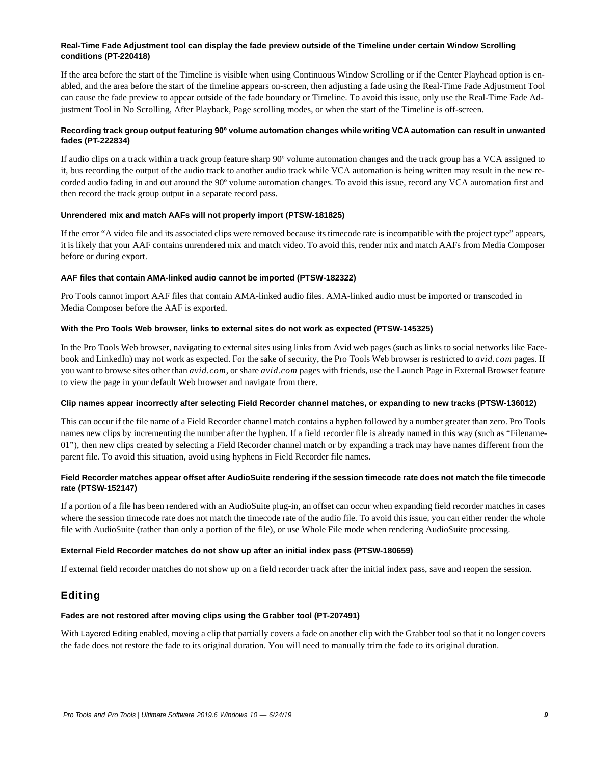### **Real-Time Fade Adjustment tool can display the fade preview outside of the Timeline under certain Window Scrolling conditions (PT-220418)**

If the area before the start of the Timeline is visible when using Continuous Window Scrolling or if the Center Playhead option is enabled, and the area before the start of the timeline appears on-screen, then adjusting a fade using the Real-Time Fade Adjustment Tool can cause the fade preview to appear outside of the fade boundary or Timeline. To avoid this issue, only use the Real-Time Fade Adjustment Tool in No Scrolling, After Playback, Page scrolling modes, or when the start of the Timeline is off-screen.

# **Recording track group output featuring 90º volume automation changes while writing VCA automation can result in unwanted fades (PT-222834)**

If audio clips on a track within a track group feature sharp 90º volume automation changes and the track group has a VCA assigned to it, bus recording the output of the audio track to another audio track while VCA automation is being written may result in the new recorded audio fading in and out around the 90º volume automation changes. To avoid this issue, record any VCA automation first and then record the track group output in a separate record pass.

# **Unrendered mix and match AAFs will not properly import (PTSW-181825)**

If the error "A video file and its associated clips were removed because its timecode rate is incompatible with the project type" appears, it is likely that your AAF contains unrendered mix and match video. To avoid this, render mix and match AAFs from Media Composer before or during export.

#### **AAF files that contain AMA-linked audio cannot be imported (PTSW-182322)**

Pro Tools cannot import AAF files that contain AMA-linked audio files. AMA-linked audio must be imported or transcoded in Media Composer before the AAF is exported.

#### **With the Pro Tools Web browser, links to external sites do not work as expected (PTSW-145325)**

In the Pro Tools Web browser, navigating to external sites using links from Avid web pages (such as links to social networks like Facebook and LinkedIn) may not work as expected. For the sake of security, the Pro Tools Web browser is restricted to *avid.com* pages. If you want to browse sites other than *avid.com*, or share *avid.com* pages with friends, use the Launch Page in External Browser feature to view the page in your default Web browser and navigate from there.

#### **Clip names appear incorrectly after selecting Field Recorder channel matches, or expanding to new tracks (PTSW-136012)**

This can occur if the file name of a Field Recorder channel match contains a hyphen followed by a number greater than zero. Pro Tools names new clips by incrementing the number after the hyphen. If a field recorder file is already named in this way (such as "Filename-01"), then new clips created by selecting a Field Recorder channel match or by expanding a track may have names different from the parent file. To avoid this situation, avoid using hyphens in Field Recorder file names.

# **Field Recorder matches appear offset after AudioSuite rendering if the session timecode rate does not match the file timecode rate (PTSW-152147)**

If a portion of a file has been rendered with an AudioSuite plug-in, an offset can occur when expanding field recorder matches in cases where the session timecode rate does not match the timecode rate of the audio file. To avoid this issue, you can either render the whole file with AudioSuite (rather than only a portion of the file), or use Whole File mode when rendering AudioSuite processing.

# **External Field Recorder matches do not show up after an initial index pass (PTSW-180659)**

If external field recorder matches do not show up on a field recorder track after the initial index pass, save and reopen the session.

# Editing

#### **Fades are not restored after moving clips using the Grabber tool (PT-207491)**

With Layered Editing enabled, moving a clip that partially covers a fade on another clip with the Grabber tool so that it no longer covers the fade does not restore the fade to its original duration. You will need to manually trim the fade to its original duration.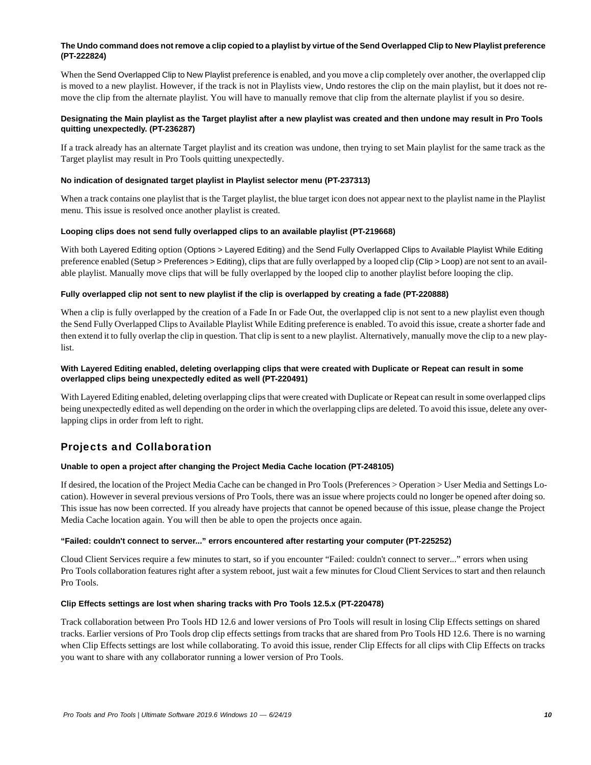# **The Undo command does not remove a clip copied to a playlist by virtue of the Send Overlapped Clip to New Playlist preference (PT-222824)**

When the Send Overlapped Clip to New Playlist preference is enabled, and you move a clip completely over another, the overlapped clip is moved to a new playlist. However, if the track is not in Playlists view, Undo restores the clip on the main playlist, but it does not remove the clip from the alternate playlist. You will have to manually remove that clip from the alternate playlist if you so desire.

# **Designating the Main playlist as the Target playlist after a new playlist was created and then undone may result in Pro Tools quitting unexpectedly. (PT-236287)**

If a track already has an alternate Target playlist and its creation was undone, then trying to set Main playlist for the same track as the Target playlist may result in Pro Tools quitting unexpectedly.

# **No indication of designated target playlist in Playlist selector menu (PT-237313)**

When a track contains one playlist that is the Target playlist, the blue target icon does not appear next to the playlist name in the Playlist menu. This issue is resolved once another playlist is created.

# **Looping clips does not send fully overlapped clips to an available playlist (PT-219668)**

With both Layered Editing option (Options > Layered Editing) and the Send Fully Overlapped Clips to Available Playlist While Editing preference enabled (Setup > Preferences > Editing), clips that are fully overlapped by a looped clip (Clip > Loop) are not sent to an available playlist. Manually move clips that will be fully overlapped by the looped clip to another playlist before looping the clip.

# **Fully overlapped clip not sent to new playlist if the clip is overlapped by creating a fade (PT-220888)**

When a clip is fully overlapped by the creation of a Fade In or Fade Out, the overlapped clip is not sent to a new playlist even though the Send Fully Overlapped Clips to Available Playlist While Editing preference is enabled. To avoid this issue, create a shorter fade and then extend it to fully overlap the clip in question. That clip is sent to a new playlist. Alternatively, manually move the clip to a new playlist.

### **With Layered Editing enabled, deleting overlapping clips that were created with Duplicate or Repeat can result in some overlapped clips being unexpectedly edited as well (PT-220491)**

With Layered Editing enabled, deleting overlapping clips that were created with Duplicate or Repeat can result in some overlapped clips being unexpectedly edited as well depending on the order in which the overlapping clips are deleted. To avoid this issue, delete any overlapping clips in order from left to right.

# Projects and Collaboration

# **Unable to open a project after changing the Project Media Cache location (PT-248105)**

If desired, the location of the Project Media Cache can be changed in Pro Tools (Preferences > Operation > User Media and Settings Location). However in several previous versions of Pro Tools, there was an issue where projects could no longer be opened after doing so. This issue has now been corrected. If you already have projects that cannot be opened because of this issue, please change the Project Media Cache location again. You will then be able to open the projects once again.

# **"Failed: couldn't connect to server..." errors encountered after restarting your computer (PT-225252)**

Cloud Client Services require a few minutes to start, so if you encounter "Failed: couldn't connect to server..." errors when using Pro Tools collaboration features right after a system reboot, just wait a few minutes for Cloud Client Services to start and then relaunch Pro Tools.

#### **Clip Effects settings are lost when sharing tracks with Pro Tools 12.5.x (PT-220478)**

Track collaboration between Pro Tools HD 12.6 and lower versions of Pro Tools will result in losing Clip Effects settings on shared tracks. Earlier versions of Pro Tools drop clip effects settings from tracks that are shared from Pro Tools HD 12.6. There is no warning when Clip Effects settings are lost while collaborating. To avoid this issue, render Clip Effects for all clips with Clip Effects on tracks you want to share with any collaborator running a lower version of Pro Tools.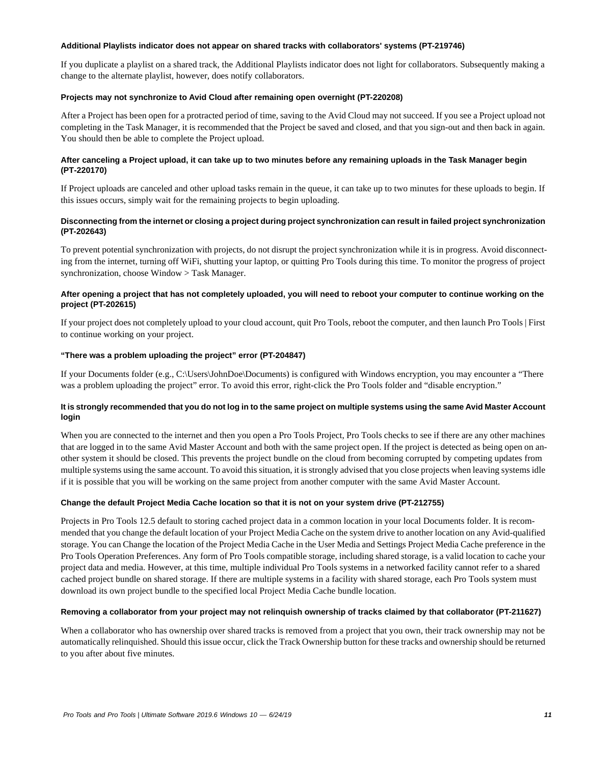#### **Additional Playlists indicator does not appear on shared tracks with collaborators' systems (PT-219746)**

If you duplicate a playlist on a shared track, the Additional Playlists indicator does not light for collaborators. Subsequently making a change to the alternate playlist, however, does notify collaborators.

### **Projects may not synchronize to Avid Cloud after remaining open overnight (PT-220208)**

After a Project has been open for a protracted period of time, saving to the Avid Cloud may not succeed. If you see a Project upload not completing in the Task Manager, it is recommended that the Project be saved and closed, and that you sign-out and then back in again. You should then be able to complete the Project upload.

# **After canceling a Project upload, it can take up to two minutes before any remaining uploads in the Task Manager begin (PT-220170)**

If Project uploads are canceled and other upload tasks remain in the queue, it can take up to two minutes for these uploads to begin. If this issues occurs, simply wait for the remaining projects to begin uploading.

# **Disconnecting from the internet or closing a project during project synchronization can result in failed project synchronization (PT-202643)**

To prevent potential synchronization with projects, do not disrupt the project synchronization while it is in progress. Avoid disconnecting from the internet, turning off WiFi, shutting your laptop, or quitting Pro Tools during this time. To monitor the progress of project synchronization, choose Window > Task Manager.

# **After opening a project that has not completely uploaded, you will need to reboot your computer to continue working on the project (PT-202615)**

If your project does not completely upload to your cloud account, quit Pro Tools, reboot the computer, and then launch Pro Tools | First to continue working on your project.

### **"There was a problem uploading the project" error (PT-204847)**

If your Documents folder (e.g., C:\Users\JohnDoe\Documents) is configured with Windows encryption, you may encounter a "There was a problem uploading the project" error. To avoid this error, right-click the Pro Tools folder and "disable encryption."

### **It is strongly recommended that you do not log in to the same project on multiple systems using the same Avid Master Account login**

When you are connected to the internet and then you open a Pro Tools Project, Pro Tools checks to see if there are any other machines that are logged in to the same Avid Master Account and both with the same project open. If the project is detected as being open on another system it should be closed. This prevents the project bundle on the cloud from becoming corrupted by competing updates from multiple systems using the same account. To avoid this situation, it is strongly advised that you close projects when leaving systems idle if it is possible that you will be working on the same project from another computer with the same Avid Master Account.

# **Change the default Project Media Cache location so that it is not on your system drive (PT-212755)**

Projects in Pro Tools 12.5 default to storing cached project data in a common location in your local Documents folder. It is recommended that you change the default location of your Project Media Cache on the system drive to another location on any Avid-qualified storage. You can Change the location of the Project Media Cache in the User Media and Settings Project Media Cache preference in the Pro Tools Operation Preferences. Any form of Pro Tools compatible storage, including shared storage, is a valid location to cache your project data and media. However, at this time, multiple individual Pro Tools systems in a networked facility cannot refer to a shared cached project bundle on shared storage. If there are multiple systems in a facility with shared storage, each Pro Tools system must download its own project bundle to the specified local Project Media Cache bundle location.

#### **Removing a collaborator from your project may not relinquish ownership of tracks claimed by that collaborator (PT-211627)**

When a collaborator who has ownership over shared tracks is removed from a project that you own, their track ownership may not be automatically relinquished. Should this issue occur, click the Track Ownership button for these tracks and ownership should be returned to you after about five minutes.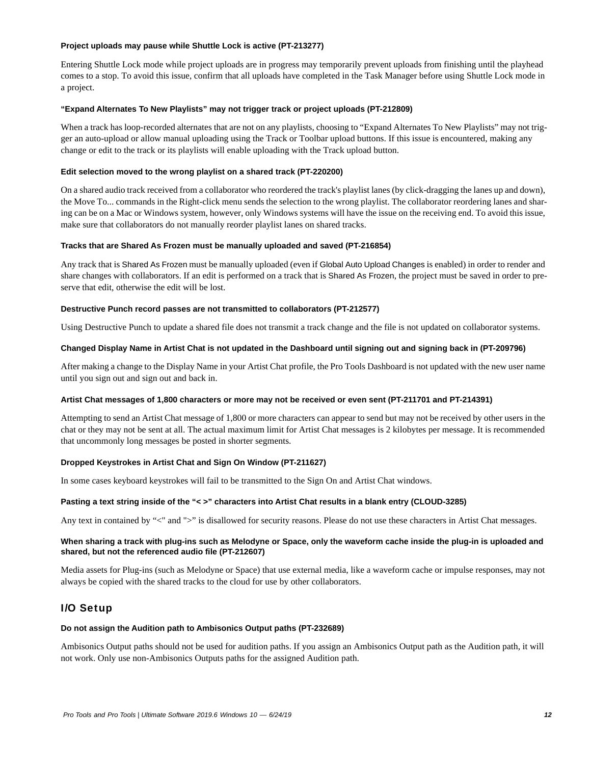#### **Project uploads may pause while Shuttle Lock is active (PT-213277)**

Entering Shuttle Lock mode while project uploads are in progress may temporarily prevent uploads from finishing until the playhead comes to a stop. To avoid this issue, confirm that all uploads have completed in the Task Manager before using Shuttle Lock mode in a project.

#### **"Expand Alternates To New Playlists" may not trigger track or project uploads (PT-212809)**

When a track has loop-recorded alternates that are not on any playlists, choosing to "Expand Alternates To New Playlists" may not trigger an auto-upload or allow manual uploading using the Track or Toolbar upload buttons. If this issue is encountered, making any change or edit to the track or its playlists will enable uploading with the Track upload button.

#### **Edit selection moved to the wrong playlist on a shared track (PT-220200)**

On a shared audio track received from a collaborator who reordered the track's playlist lanes (by click-dragging the lanes up and down), the Move To... commands in the Right-click menu sends the selection to the wrong playlist. The collaborator reordering lanes and sharing can be on a Mac or Windows system, however, only Windows systems will have the issue on the receiving end. To avoid this issue, make sure that collaborators do not manually reorder playlist lanes on shared tracks.

#### **Tracks that are Shared As Frozen must be manually uploaded and saved (PT-216854)**

Any track that is Shared As Frozen must be manually uploaded (even if Global Auto Upload Changes is enabled) in order to render and share changes with collaborators. If an edit is performed on a track that is Shared As Frozen, the project must be saved in order to preserve that edit, otherwise the edit will be lost.

#### **Destructive Punch record passes are not transmitted to collaborators (PT-212577)**

Using Destructive Punch to update a shared file does not transmit a track change and the file is not updated on collaborator systems.

#### **Changed Display Name in Artist Chat is not updated in the Dashboard until signing out and signing back in (PT-209796)**

After making a change to the Display Name in your Artist Chat profile, the Pro Tools Dashboard is not updated with the new user name until you sign out and sign out and back in.

#### **Artist Chat messages of 1,800 characters or more may not be received or even sent (PT-211701 and PT-214391)**

Attempting to send an Artist Chat message of 1,800 or more characters can appear to send but may not be received by other users in the chat or they may not be sent at all. The actual maximum limit for Artist Chat messages is 2 kilobytes per message. It is recommended that uncommonly long messages be posted in shorter segments.

# **Dropped Keystrokes in Artist Chat and Sign On Window (PT-211627)**

In some cases keyboard keystrokes will fail to be transmitted to the Sign On and Artist Chat windows.

#### **Pasting a text string inside of the "< >" characters into Artist Chat results in a blank entry (CLOUD-3285)**

Any text in contained by "<" and ">" is disallowed for security reasons. Please do not use these characters in Artist Chat messages.

#### **When sharing a track with plug-ins such as Melodyne or Space, only the waveform cache inside the plug-in is uploaded and shared, but not the referenced audio file (PT-212607)**

Media assets for Plug-ins (such as Melodyne or Space) that use external media, like a waveform cache or impulse responses, may not always be copied with the shared tracks to the cloud for use by other collaborators.

# I/O Setup

#### **Do not assign the Audition path to Ambisonics Output paths (PT-232689)**

Ambisonics Output paths should not be used for audition paths. If you assign an Ambisonics Output path as the Audition path, it will not work. Only use non-Ambisonics Outputs paths for the assigned Audition path.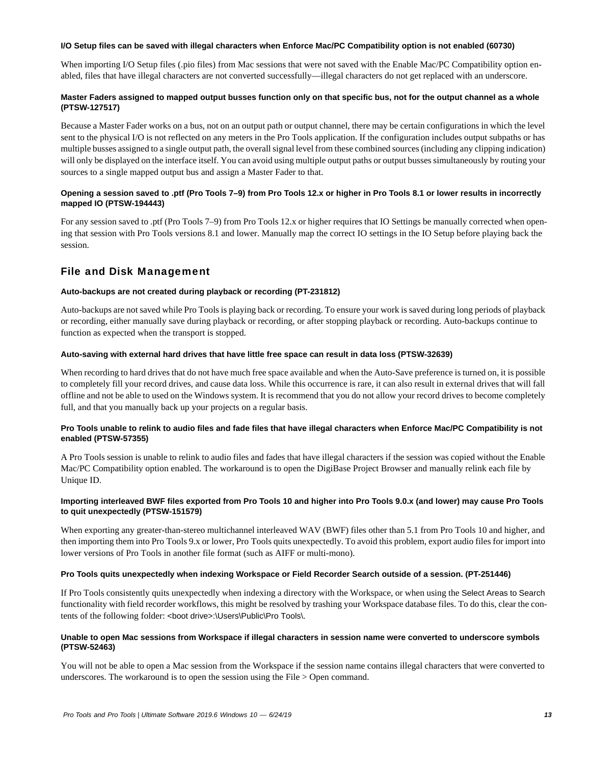#### **I/O Setup files can be saved with illegal characters when Enforce Mac/PC Compatibility option is not enabled (60730)**

When importing I/O Setup files (.pio files) from Mac sessions that were not saved with the Enable Mac/PC Compatibility option enabled, files that have illegal characters are not converted successfully—illegal characters do not get replaced with an underscore.

# **Master Faders assigned to mapped output busses function only on that specific bus, not for the output channel as a whole (PTSW-127517)**

Because a Master Fader works on a bus, not on an output path or output channel, there may be certain configurations in which the level sent to the physical I/O is not reflected on any meters in the Pro Tools application. If the configuration includes output subpaths or has multiple busses assigned to a single output path, the overall signal level from these combined sources (including any clipping indication) will only be displayed on the interface itself. You can avoid using multiple output paths or output busses simultaneously by routing your sources to a single mapped output bus and assign a Master Fader to that.

# **Opening a session saved to .ptf (Pro Tools 7–9) from Pro Tools 12.x or higher in Pro Tools 8.1 or lower results in incorrectly mapped IO (PTSW-194443)**

For any session saved to .ptf (Pro Tools 7–9) from Pro Tools 12.x or higher requires that IO Settings be manually corrected when opening that session with Pro Tools versions 8.1 and lower. Manually map the correct IO settings in the IO Setup before playing back the session.

# File and Disk Management

# **Auto-backups are not created during playback or recording (PT-231812)**

Auto-backups are not saved while Pro Tools is playing back or recording. To ensure your work is saved during long periods of playback or recording, either manually save during playback or recording, or after stopping playback or recording. Auto-backups continue to function as expected when the transport is stopped.

# **Auto-saving with external hard drives that have little free space can result in data loss (PTSW-32639)**

When recording to hard drives that do not have much free space available and when the Auto-Save preference is turned on, it is possible to completely fill your record drives, and cause data loss. While this occurrence is rare, it can also result in external drives that will fall offline and not be able to used on the Windows system. It is recommend that you do not allow your record drives to become completely full, and that you manually back up your projects on a regular basis.

# **Pro Tools unable to relink to audio files and fade files that have illegal characters when Enforce Mac/PC Compatibility is not enabled (PTSW-57355)**

A Pro Tools session is unable to relink to audio files and fades that have illegal characters if the session was copied without the Enable Mac/PC Compatibility option enabled. The workaround is to open the DigiBase Project Browser and manually relink each file by Unique ID.

# **Importing interleaved BWF files exported from Pro Tools 10 and higher into Pro Tools 9.0.x (and lower) may cause Pro Tools to quit unexpectedly (PTSW-151579)**

When exporting any greater-than-stereo multichannel interleaved WAV (BWF) files other than 5.1 from Pro Tools 10 and higher, and then importing them into Pro Tools 9.x or lower, Pro Tools quits unexpectedly. To avoid this problem, export audio files for import into lower versions of Pro Tools in another file format (such as AIFF or multi-mono).

# **Pro Tools quits unexpectedly when indexing Workspace or Field Recorder Search outside of a session. (PT-251446)**

If Pro Tools consistently quits unexpectedly when indexing a directory with the Workspace, or when using the Select Areas to Search functionality with field recorder workflows, this might be resolved by trashing your Workspace database files. To do this, clear the contents of the following folder: <boot drive>:\Users\Public\Pro Tools\.

# **Unable to open Mac sessions from Workspace if illegal characters in session name were converted to underscore symbols (PTSW-52463)**

You will not be able to open a Mac session from the Workspace if the session name contains illegal characters that were converted to underscores. The workaround is to open the session using the File > Open command.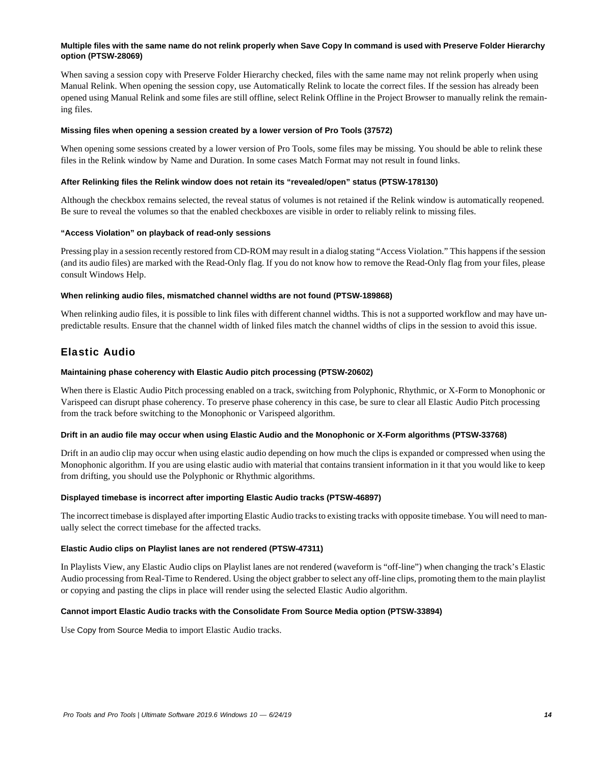### **Multiple files with the same name do not relink properly when Save Copy In command is used with Preserve Folder Hierarchy option (PTSW-28069)**

When saving a session copy with Preserve Folder Hierarchy checked, files with the same name may not relink properly when using Manual Relink. When opening the session copy, use Automatically Relink to locate the correct files. If the session has already been opened using Manual Relink and some files are still offline, select Relink Offline in the Project Browser to manually relink the remaining files.

#### **Missing files when opening a session created by a lower version of Pro Tools (37572)**

When opening some sessions created by a lower version of Pro Tools, some files may be missing. You should be able to relink these files in the Relink window by Name and Duration. In some cases Match Format may not result in found links.

#### **After Relinking files the Relink window does not retain its "revealed/open" status (PTSW-178130)**

Although the checkbox remains selected, the reveal status of volumes is not retained if the Relink window is automatically reopened. Be sure to reveal the volumes so that the enabled checkboxes are visible in order to reliably relink to missing files.

#### **"Access Violation" on playback of read-only sessions**

Pressing play in a session recently restored from CD-ROM may result in a dialog stating "Access Violation." This happens if the session (and its audio files) are marked with the Read-Only flag. If you do not know how to remove the Read-Only flag from your files, please consult Windows Help.

#### **When relinking audio files, mismatched channel widths are not found (PTSW-189868)**

When relinking audio files, it is possible to link files with different channel widths. This is not a supported workflow and may have unpredictable results. Ensure that the channel width of linked files match the channel widths of clips in the session to avoid this issue.

# Elastic Audio

#### **Maintaining phase coherency with Elastic Audio pitch processing (PTSW-20602)**

When there is Elastic Audio Pitch processing enabled on a track, switching from Polyphonic, Rhythmic, or X-Form to Monophonic or Varispeed can disrupt phase coherency. To preserve phase coherency in this case, be sure to clear all Elastic Audio Pitch processing from the track before switching to the Monophonic or Varispeed algorithm.

# **Drift in an audio file may occur when using Elastic Audio and the Monophonic or X-Form algorithms (PTSW-33768)**

Drift in an audio clip may occur when using elastic audio depending on how much the clips is expanded or compressed when using the Monophonic algorithm. If you are using elastic audio with material that contains transient information in it that you would like to keep from drifting, you should use the Polyphonic or Rhythmic algorithms.

#### **Displayed timebase is incorrect after importing Elastic Audio tracks (PTSW-46897)**

The incorrect timebase is displayed after importing Elastic Audio tracks to existing tracks with opposite timebase. You will need to manually select the correct timebase for the affected tracks.

# **Elastic Audio clips on Playlist lanes are not rendered (PTSW-47311)**

In Playlists View, any Elastic Audio clips on Playlist lanes are not rendered (waveform is "off-line") when changing the track's Elastic Audio processing from Real-Time to Rendered. Using the object grabber to select any off-line clips, promoting them to the main playlist or copying and pasting the clips in place will render using the selected Elastic Audio algorithm.

# **Cannot import Elastic Audio tracks with the Consolidate From Source Media option (PTSW-33894)**

Use Copy from Source Media to import Elastic Audio tracks.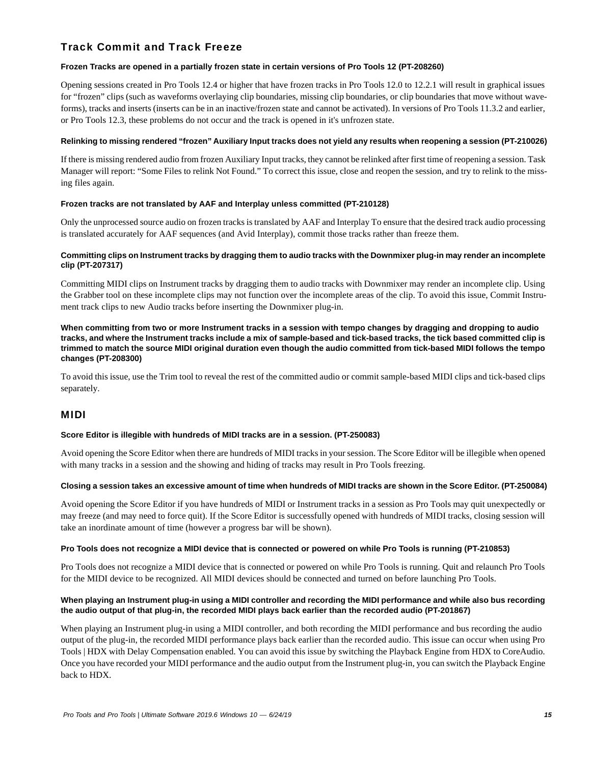# Track Commit and Track Freeze

### **Frozen Tracks are opened in a partially frozen state in certain versions of Pro Tools 12 (PT-208260)**

Opening sessions created in Pro Tools 12.4 or higher that have frozen tracks in Pro Tools 12.0 to 12.2.1 will result in graphical issues for "frozen" clips (such as waveforms overlaying clip boundaries, missing clip boundaries, or clip boundaries that move without waveforms), tracks and inserts (inserts can be in an inactive/frozen state and cannot be activated). In versions of Pro Tools 11.3.2 and earlier, or Pro Tools 12.3, these problems do not occur and the track is opened in it's unfrozen state.

#### **Relinking to missing rendered "frozen" Auxiliary Input tracks does not yield any results when reopening a session (PT-210026)**

If there is missing rendered audio from frozen Auxiliary Input tracks, they cannot be relinked after first time of reopening a session. Task Manager will report: "Some Files to relink Not Found." To correct this issue, close and reopen the session, and try to relink to the missing files again.

#### **Frozen tracks are not translated by AAF and Interplay unless committed (PT-210128)**

Only the unprocessed source audio on frozen tracks is translated by AAF and Interplay To ensure that the desired track audio processing is translated accurately for AAF sequences (and Avid Interplay), commit those tracks rather than freeze them.

### **Committing clips on Instrument tracks by dragging them to audio tracks with the Downmixer plug-in may render an incomplete clip (PT-207317)**

Committing MIDI clips on Instrument tracks by dragging them to audio tracks with Downmixer may render an incomplete clip. Using the Grabber tool on these incomplete clips may not function over the incomplete areas of the clip. To avoid this issue, Commit Instrument track clips to new Audio tracks before inserting the Downmixer plug-in.

**When committing from two or more Instrument tracks in a session with tempo changes by dragging and dropping to audio tracks, and where the Instrument tracks include a mix of sample-based and tick-based tracks, the tick based committed clip is trimmed to match the source MIDI original duration even though the audio committed from tick-based MIDI follows the tempo changes (PT-208300)**

To avoid this issue, use the Trim tool to reveal the rest of the committed audio or commit sample-based MIDI clips and tick-based clips separately.

# MIDI

#### **Score Editor is illegible with hundreds of MIDI tracks are in a session. (PT-250083)**

Avoid opening the Score Editor when there are hundreds of MIDI tracks in your session. The Score Editor will be illegible when opened with many tracks in a session and the showing and hiding of tracks may result in Pro Tools freezing.

#### **Closing a session takes an excessive amount of time when hundreds of MIDI tracks are shown in the Score Editor. (PT-250084)**

Avoid opening the Score Editor if you have hundreds of MIDI or Instrument tracks in a session as Pro Tools may quit unexpectedly or may freeze (and may need to force quit). If the Score Editor is successfully opened with hundreds of MIDI tracks, closing session will take an inordinate amount of time (however a progress bar will be shown).

#### **Pro Tools does not recognize a MIDI device that is connected or powered on while Pro Tools is running (PT-210853)**

Pro Tools does not recognize a MIDI device that is connected or powered on while Pro Tools is running. Quit and relaunch Pro Tools for the MIDI device to be recognized. All MIDI devices should be connected and turned on before launching Pro Tools.

#### **When playing an Instrument plug-in using a MIDI controller and recording the MIDI performance and while also bus recording the audio output of that plug-in, the recorded MIDI plays back earlier than the recorded audio (PT-201867)**

When playing an Instrument plug-in using a MIDI controller, and both recording the MIDI performance and bus recording the audio output of the plug-in, the recorded MIDI performance plays back earlier than the recorded audio. This issue can occur when using Pro Tools | HDX with Delay Compensation enabled. You can avoid this issue by switching the Playback Engine from HDX to CoreAudio. Once you have recorded your MIDI performance and the audio output from the Instrument plug-in, you can switch the Playback Engine back to HDX.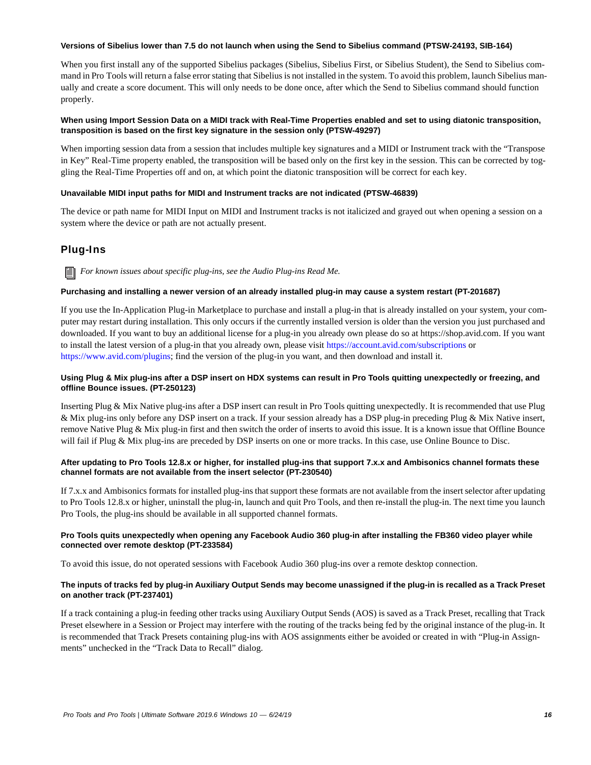#### **Versions of Sibelius lower than 7.5 do not launch when using the Send to Sibelius command (PTSW-24193, SIB-164)**

When you first install any of the supported Sibelius packages (Sibelius, Sibelius First, or Sibelius Student), the Send to Sibelius command in Pro Tools will return a false error stating that Sibelius is not installed in the system. To avoid this problem, launch Sibelius manually and create a score document. This will only needs to be done once, after which the Send to Sibelius command should function properly.

# **When using Import Session Data on a MIDI track with Real-Time Properties enabled and set to using diatonic transposition, transposition is based on the first key signature in the session only (PTSW-49297)**

When importing session data from a session that includes multiple key signatures and a MIDI or Instrument track with the "Transpose in Key" Real-Time property enabled, the transposition will be based only on the first key in the session. This can be corrected by toggling the Real-Time Properties off and on, at which point the diatonic transposition will be correct for each key.

# **Unavailable MIDI input paths for MIDI and Instrument tracks are not indicated (PTSW-46839)**

The device or path name for MIDI Input on MIDI and Instrument tracks is not italicized and grayed out when opening a session on a system where the device or path are not actually present.

# Plug-Ins

*For known issues about specific plug-ins, see the Audio Plug-ins Read Me.*

# **Purchasing and installing a newer version of an already installed plug-in may cause a system restart (PT-201687)**

If you use the In-Application Plug-in Marketplace to purchase and install a plug-in that is already installed on your system, your computer may restart during installation. This only occurs if the currently installed version is older than the version you just purchased and downloaded. If you want to buy an additional license for a plug-in you already own please do so at https://shop.avid.com. If you want to install the latest version of a plug-in that you already own, please visit<https://account.avid.com/subscriptions> or [https://www.avid.com/plugins;](https://www.avid.com/plugins) find the version of the plug-in you want, and then download and install it.

# **Using Plug & Mix plug-ins after a DSP insert on HDX systems can result in Pro Tools quitting unexpectedly or freezing, and offline Bounce issues. (PT-250123)**

Inserting Plug & Mix Native plug-ins after a DSP insert can result in Pro Tools quitting unexpectedly. It is recommended that use Plug & Mix plug-ins only before any DSP insert on a track. If your session already has a DSP plug-in preceding Plug & Mix Native insert, remove Native Plug & Mix plug-in first and then switch the order of inserts to avoid this issue. It is a known issue that Offline Bounce will fail if Plug & Mix plug-ins are preceded by DSP inserts on one or more tracks. In this case, use Online Bounce to Disc.

#### **After updating to Pro Tools 12.8.x or higher, for installed plug-ins that support 7.x.x and Ambisonics channel formats these channel formats are not available from the insert selector (PT-230540)**

If 7.x.x and Ambisonics formats for installed plug-ins that support these formats are not available from the insert selector after updating to Pro Tools 12.8.x or higher, uninstall the plug-in, launch and quit Pro Tools, and then re-install the plug-in. The next time you launch Pro Tools, the plug-ins should be available in all supported channel formats.

# **Pro Tools quits unexpectedly when opening any Facebook Audio 360 plug-in after installing the FB360 video player while connected over remote desktop (PT-233584)**

To avoid this issue, do not operated sessions with Facebook Audio 360 plug-ins over a remote desktop connection.

# **The inputs of tracks fed by plug-in Auxiliary Output Sends may become unassigned if the plug-in is recalled as a Track Preset on another track (PT-237401)**

If a track containing a plug-in feeding other tracks using Auxiliary Output Sends (AOS) is saved as a Track Preset, recalling that Track Preset elsewhere in a Session or Project may interfere with the routing of the tracks being fed by the original instance of the plug-in. It is recommended that Track Presets containing plug-ins with AOS assignments either be avoided or created in with "Plug-in Assignments" unchecked in the "Track Data to Recall" dialog.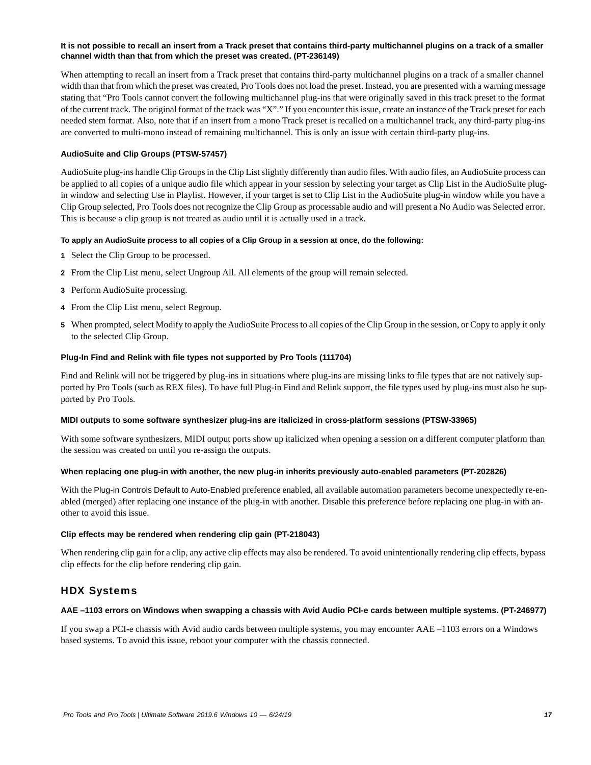### **It is not possible to recall an insert from a Track preset that contains third-party multichannel plugins on a track of a smaller channel width than that from which the preset was created. (PT-236149)**

When attempting to recall an insert from a Track preset that contains third-party multichannel plugins on a track of a smaller channel width than that from which the preset was created, Pro Tools does not load the preset. Instead, you are presented with a warning message stating that "Pro Tools cannot convert the following multichannel plug-ins that were originally saved in this track preset to the format of the current track. The original format of the track was "X"." If you encounter this issue, create an instance of the Track preset for each needed stem format. Also, note that if an insert from a mono Track preset is recalled on a multichannel track, any third-party plug-ins are converted to multi-mono instead of remaining multichannel. This is only an issue with certain third-party plug-ins.

#### **AudioSuite and Clip Groups (PTSW-57457)**

AudioSuite plug-ins handle Clip Groups in the Clip List slightly differently than audio files. With audio files, an AudioSuite process can be applied to all copies of a unique audio file which appear in your session by selecting your target as Clip List in the AudioSuite plugin window and selecting Use in Playlist. However, if your target is set to Clip List in the AudioSuite plug-in window while you have a Clip Group selected, Pro Tools does not recognize the Clip Group as processable audio and will present a No Audio was Selected error. This is because a clip group is not treated as audio until it is actually used in a track.

#### **To apply an AudioSuite process to all copies of a Clip Group in a session at once, do the following:**

- **1** Select the Clip Group to be processed.
- **2** From the Clip List menu, select Ungroup All. All elements of the group will remain selected.
- **3** Perform AudioSuite processing.
- **4** From the Clip List menu, select Regroup.
- **5** When prompted, select Modify to apply the AudioSuite Process to all copies of the Clip Group in the session, or Copy to apply it only to the selected Clip Group.

#### **Plug-In Find and Relink with file types not supported by Pro Tools (111704)**

Find and Relink will not be triggered by plug-ins in situations where plug-ins are missing links to file types that are not natively supported by Pro Tools (such as REX files). To have full Plug-in Find and Relink support, the file types used by plug-ins must also be supported by Pro Tools.

#### **MIDI outputs to some software synthesizer plug-ins are italicized in cross-platform sessions (PTSW-33965)**

With some software synthesizers, MIDI output ports show up italicized when opening a session on a different computer platform than the session was created on until you re-assign the outputs.

#### **When replacing one plug-in with another, the new plug-in inherits previously auto-enabled parameters (PT-202826)**

With the Plug-in Controls Default to Auto-Enabled preference enabled, all available automation parameters become unexpectedly re-enabled (merged) after replacing one instance of the plug-in with another. Disable this preference before replacing one plug-in with another to avoid this issue.

#### **Clip effects may be rendered when rendering clip gain (PT-218043)**

When rendering clip gain for a clip, any active clip effects may also be rendered. To avoid unintentionally rendering clip effects, bypass clip effects for the clip before rendering clip gain.

# HDX Systems

#### **AAE –1103 errors on Windows when swapping a chassis with Avid Audio PCI-e cards between multiple systems. (PT-246977)**

If you swap a PCI-e chassis with Avid audio cards between multiple systems, you may encounter AAE –1103 errors on a Windows based systems. To avoid this issue, reboot your computer with the chassis connected.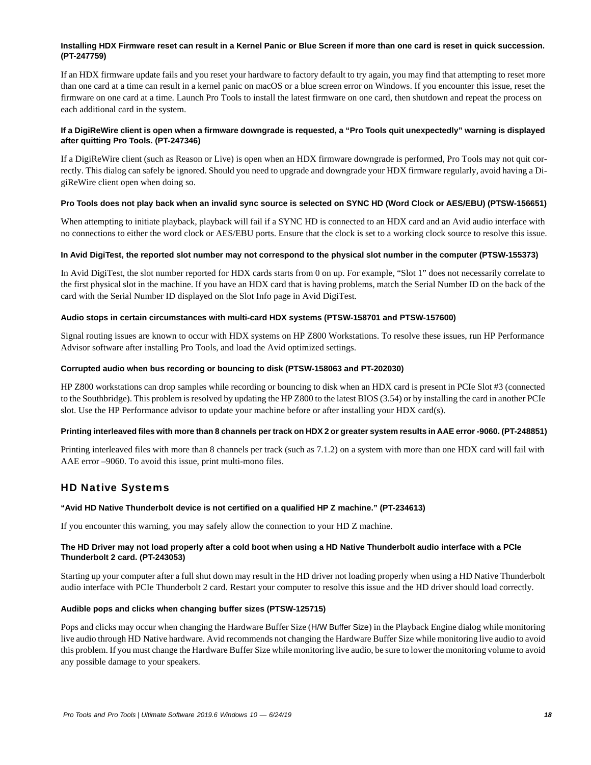# **Installing HDX Firmware reset can result in a Kernel Panic or Blue Screen if more than one card is reset in quick succession. (PT-247759)**

If an HDX firmware update fails and you reset your hardware to factory default to try again, you may find that attempting to reset more than one card at a time can result in a kernel panic on macOS or a blue screen error on Windows. If you encounter this issue, reset the firmware on one card at a time. Launch Pro Tools to install the latest firmware on one card, then shutdown and repeat the process on each additional card in the system.

# **If a DigiReWire client is open when a firmware downgrade is requested, a "Pro Tools quit unexpectedly" warning is displayed after quitting Pro Tools. (PT-247346)**

If a DigiReWire client (such as Reason or Live) is open when an HDX firmware downgrade is performed, Pro Tools may not quit correctly. This dialog can safely be ignored. Should you need to upgrade and downgrade your HDX firmware regularly, avoid having a DigiReWire client open when doing so.

# **Pro Tools does not play back when an invalid sync source is selected on SYNC HD (Word Clock or AES/EBU) (PTSW-156651)**

When attempting to initiate playback, playback will fail if a SYNC HD is connected to an HDX card and an Avid audio interface with no connections to either the word clock or AES/EBU ports. Ensure that the clock is set to a working clock source to resolve this issue.

# **In Avid DigiTest, the reported slot number may not correspond to the physical slot number in the computer (PTSW-155373)**

In Avid DigiTest, the slot number reported for HDX cards starts from 0 on up. For example, "Slot 1" does not necessarily correlate to the first physical slot in the machine. If you have an HDX card that is having problems, match the Serial Number ID on the back of the card with the Serial Number ID displayed on the Slot Info page in Avid DigiTest.

# **Audio stops in certain circumstances with multi-card HDX systems (PTSW-158701 and PTSW-157600)**

Signal routing issues are known to occur with HDX systems on HP Z800 Workstations. To resolve these issues, run HP Performance Advisor software after installing Pro Tools, and load the Avid optimized settings.

# **Corrupted audio when bus recording or bouncing to disk (PTSW-158063 and PT-202030)**

HP Z800 workstations can drop samples while recording or bouncing to disk when an HDX card is present in PCIe Slot #3 (connected to the Southbridge). This problem is resolved by updating the HP Z800 to the latest BIOS (3.54) or by installing the card in another PCIe slot. Use the HP Performance advisor to update your machine before or after installing your HDX card(s).

# **Printing interleaved files with more than 8 channels per track on HDX 2 or greater system results in AAE error -9060. (PT-248851)**

Printing interleaved files with more than 8 channels per track (such as 7.1.2) on a system with more than one HDX card will fail with AAE error –9060. To avoid this issue, print multi-mono files.

# HD Native Systems

# **"Avid HD Native Thunderbolt device is not certified on a qualified HP Z machine." (PT-234613)**

If you encounter this warning, you may safely allow the connection to your HD Z machine.

# **The HD Driver may not load properly after a cold boot when using a HD Native Thunderbolt audio interface with a PCIe Thunderbolt 2 card. (PT-243053)**

Starting up your computer after a full shut down may result in the HD driver not loading properly when using a HD Native Thunderbolt audio interface with PCIe Thunderbolt 2 card. Restart your computer to resolve this issue and the HD driver should load correctly.

# **Audible pops and clicks when changing buffer sizes (PTSW-125715)**

Pops and clicks may occur when changing the Hardware Buffer Size (H/W Buffer Size) in the Playback Engine dialog while monitoring live audio through HD Native hardware. Avid recommends not changing the Hardware Buffer Size while monitoring live audio to avoid this problem. If you must change the Hardware Buffer Size while monitoring live audio, be sure to lower the monitoring volume to avoid any possible damage to your speakers.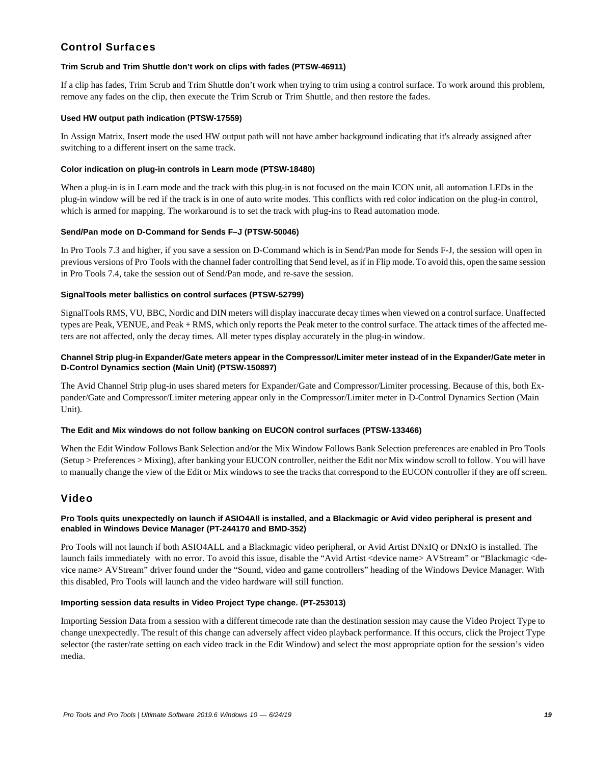# Control Surfaces

# **Trim Scrub and Trim Shuttle don't work on clips with fades (PTSW-46911)**

If a clip has fades, Trim Scrub and Trim Shuttle don't work when trying to trim using a control surface. To work around this problem, remove any fades on the clip, then execute the Trim Scrub or Trim Shuttle, and then restore the fades.

# **Used HW output path indication (PTSW-17559)**

In Assign Matrix, Insert mode the used HW output path will not have amber background indicating that it's already assigned after switching to a different insert on the same track.

### **Color indication on plug-in controls in Learn mode (PTSW-18480)**

When a plug-in is in Learn mode and the track with this plug-in is not focused on the main ICON unit, all automation LEDs in the plug-in window will be red if the track is in one of auto write modes. This conflicts with red color indication on the plug-in control, which is armed for mapping. The workaround is to set the track with plug-ins to Read automation mode.

#### **Send/Pan mode on D-Command for Sends F–J (PTSW-50046)**

In Pro Tools 7.3 and higher, if you save a session on D-Command which is in Send/Pan mode for Sends F-J, the session will open in previous versions of Pro Tools with the channel fader controlling that Send level, as if in Flip mode. To avoid this, open the same session in Pro Tools 7.4, take the session out of Send/Pan mode, and re-save the session.

#### **SignalTools meter ballistics on control surfaces (PTSW-52799)**

SignalTools RMS, VU, BBC, Nordic and DIN meters will display inaccurate decay times when viewed on a control surface. Unaffected types are Peak, VENUE, and Peak + RMS, which only reports the Peak meter to the control surface. The attack times of the affected meters are not affected, only the decay times. All meter types display accurately in the plug-in window.

# **Channel Strip plug-in Expander/Gate meters appear in the Compressor/Limiter meter instead of in the Expander/Gate meter in D-Control Dynamics section (Main Unit) (PTSW-150897)**

The Avid Channel Strip plug-in uses shared meters for Expander/Gate and Compressor/Limiter processing. Because of this, both Expander/Gate and Compressor/Limiter metering appear only in the Compressor/Limiter meter in D-Control Dynamics Section (Main Unit).

# **The Edit and Mix windows do not follow banking on EUCON control surfaces (PTSW-133466)**

When the Edit Window Follows Bank Selection and/or the Mix Window Follows Bank Selection preferences are enabled in Pro Tools (Setup > Preferences > Mixing), after banking your EUCON controller, neither the Edit nor Mix window scroll to follow. You will have to manually change the view of the Edit or Mix windows to see the tracks that correspond to the EUCON controller if they are off screen.

# Video

# **Pro Tools quits unexpectedly on launch if ASIO4All is installed, and a Blackmagic or Avid video peripheral is present and enabled in Windows Device Manager (PT-244170 and BMD-352)**

Pro Tools will not launch if both ASIO4ALL and a Blackmagic video peripheral, or Avid Artist DNxIQ or DNxIO is installed. The launch fails immediately with no error. To avoid this issue, disable the "Avid Artist <device name> AVStream" or "Blackmagic <device name> AVStream" driver found under the "Sound, video and game controllers" heading of the Windows Device Manager. With this disabled, Pro Tools will launch and the video hardware will still function.

# **Importing session data results in Video Project Type change. (PT-253013)**

Importing Session Data from a session with a different timecode rate than the destination session may cause the Video Project Type to change unexpectedly. The result of this change can adversely affect video playback performance. If this occurs, click the Project Type selector (the raster/rate setting on each video track in the Edit Window) and select the most appropriate option for the session's video media.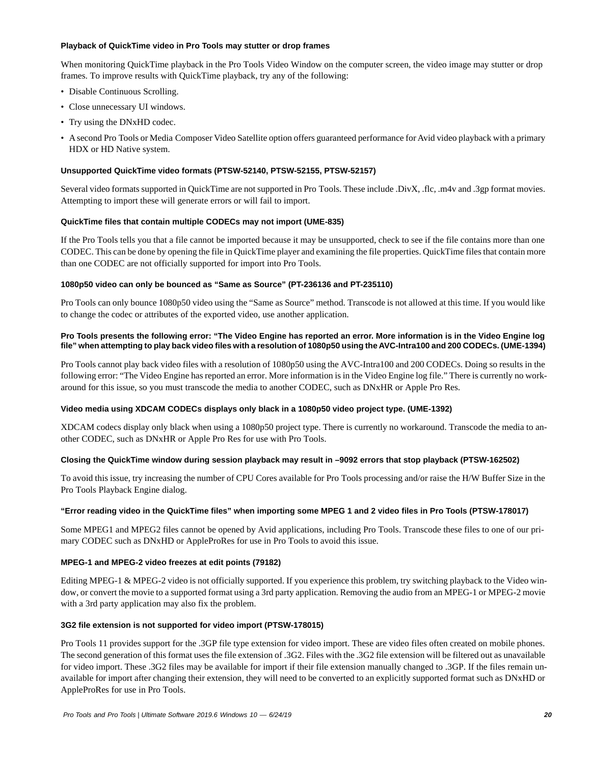#### **Playback of QuickTime video in Pro Tools may stutter or drop frames**

When monitoring QuickTime playback in the Pro Tools Video Window on the computer screen, the video image may stutter or drop frames. To improve results with QuickTime playback, try any of the following:

- Disable Continuous Scrolling.
- Close unnecessary UI windows.
- Try using the DNxHD codec.
- A second Pro Tools or Media Composer Video Satellite option offers guaranteed performance for Avid video playback with a primary HDX or HD Native system.

# **Unsupported QuickTime video formats (PTSW-52140, PTSW-52155, PTSW-52157)**

Several video formats supported in QuickTime are not supported in Pro Tools. These include .DivX, .flc, .m4v and .3gp format movies. Attempting to import these will generate errors or will fail to import.

#### **QuickTime files that contain multiple CODECs may not import (UME-835)**

If the Pro Tools tells you that a file cannot be imported because it may be unsupported, check to see if the file contains more than one CODEC. This can be done by opening the file in QuickTime player and examining the file properties. QuickTime files that contain more than one CODEC are not officially supported for import into Pro Tools.

#### **1080p50 video can only be bounced as "Same as Source" (PT-236136 and PT-235110)**

Pro Tools can only bounce 1080p50 video using the "Same as Source" method. Transcode is not allowed at this time. If you would like to change the codec or attributes of the exported video, use another application.

### **Pro Tools presents the following error: "The Video Engine has reported an error. More information is in the Video Engine log file" when attempting to play back video files with a resolution of 1080p50 using the AVC-Intra100 and 200 CODECs. (UME-1394)**

Pro Tools cannot play back video files with a resolution of 1080p50 using the AVC-Intra100 and 200 CODECs. Doing so results in the following error: "The Video Engine has reported an error. More information is in the Video Engine log file." There is currently no workaround for this issue, so you must transcode the media to another CODEC, such as DNxHR or Apple Pro Res.

# **Video media using XDCAM CODECs displays only black in a 1080p50 video project type. (UME-1392)**

XDCAM codecs display only black when using a 1080p50 project type. There is currently no workaround. Transcode the media to another CODEC, such as DNxHR or Apple Pro Res for use with Pro Tools.

# **Closing the QuickTime window during session playback may result in –9092 errors that stop playback (PTSW-162502)**

To avoid this issue, try increasing the number of CPU Cores available for Pro Tools processing and/or raise the H/W Buffer Size in the Pro Tools Playback Engine dialog.

# **"Error reading video in the QuickTime files" when importing some MPEG 1 and 2 video files in Pro Tools (PTSW-178017)**

Some MPEG1 and MPEG2 files cannot be opened by Avid applications, including Pro Tools. Transcode these files to one of our primary CODEC such as DNxHD or AppleProRes for use in Pro Tools to avoid this issue.

# **MPEG-1 and MPEG-2 video freezes at edit points (79182)**

Editing MPEG-1 & MPEG-2 video is not officially supported. If you experience this problem, try switching playback to the Video window, or convert the movie to a supported format using a 3rd party application. Removing the audio from an MPEG-1 or MPEG-2 movie with a 3rd party application may also fix the problem.

#### **3G2 file extension is not supported for video import (PTSW-178015)**

Pro Tools 11 provides support for the .3GP file type extension for video import. These are video files often created on mobile phones. The second generation of this format uses the file extension of .3G2. Files with the .3G2 file extension will be filtered out as unavailable for video import. These .3G2 files may be available for import if their file extension manually changed to .3GP. If the files remain unavailable for import after changing their extension, they will need to be converted to an explicitly supported format such as DNxHD or AppleProRes for use in Pro Tools.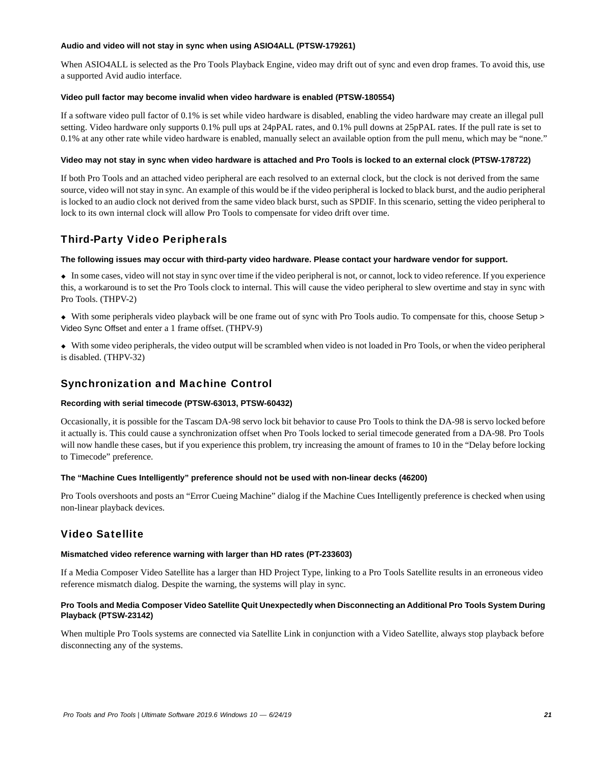#### **Audio and video will not stay in sync when using ASIO4ALL (PTSW-179261)**

When ASIO4ALL is selected as the Pro Tools Playback Engine, video may drift out of sync and even drop frames. To avoid this, use a supported Avid audio interface.

#### **Video pull factor may become invalid when video hardware is enabled (PTSW-180554)**

If a software video pull factor of 0.1% is set while video hardware is disabled, enabling the video hardware may create an illegal pull setting. Video hardware only supports 0.1% pull ups at 24pPAL rates, and 0.1% pull downs at 25pPAL rates. If the pull rate is set to 0.1% at any other rate while video hardware is enabled, manually select an available option from the pull menu, which may be "none."

#### **Video may not stay in sync when video hardware is attached and Pro Tools is locked to an external clock (PTSW-178722)**

If both Pro Tools and an attached video peripheral are each resolved to an external clock, but the clock is not derived from the same source, video will not stay in sync. An example of this would be if the video peripheral is locked to black burst, and the audio peripheral is locked to an audio clock not derived from the same video black burst, such as SPDIF. In this scenario, setting the video peripheral to lock to its own internal clock will allow Pro Tools to compensate for video drift over time.

# Third-Party Video Peripherals

# **The following issues may occur with third-party video hardware. Please contact your hardware vendor for support.**

 In some cases, video will not stay in sync over time if the video peripheral is not, or cannot, lock to video reference. If you experience this, a workaround is to set the Pro Tools clock to internal. This will cause the video peripheral to slew overtime and stay in sync with Pro Tools. (THPV-2)

 With some peripherals video playback will be one frame out of sync with Pro Tools audio. To compensate for this, choose Setup > Video Sync Offset and enter a 1 frame offset. (THPV-9)

 With some video peripherals, the video output will be scrambled when video is not loaded in Pro Tools, or when the video peripheral is disabled. (THPV-32)

# Synchronization and Machine Control

# **Recording with serial timecode (PTSW-63013, PTSW-60432)**

Occasionally, it is possible for the Tascam DA-98 servo lock bit behavior to cause Pro Tools to think the DA-98 is servo locked before it actually is. This could cause a synchronization offset when Pro Tools locked to serial timecode generated from a DA-98. Pro Tools will now handle these cases, but if you experience this problem, try increasing the amount of frames to 10 in the "Delay before locking to Timecode" preference.

#### **The "Machine Cues Intelligently" preference should not be used with non-linear decks (46200)**

Pro Tools overshoots and posts an "Error Cueing Machine" dialog if the Machine Cues Intelligently preference is checked when using non-linear playback devices.

# Video Satellite

#### **Mismatched video reference warning with larger than HD rates (PT-233603)**

If a Media Composer Video Satellite has a larger than HD Project Type, linking to a Pro Tools Satellite results in an erroneous video reference mismatch dialog. Despite the warning, the systems will play in sync.

# **Pro Tools and Media Composer Video Satellite Quit Unexpectedly when Disconnecting an Additional Pro Tools System During Playback (PTSW-23142)**

When multiple Pro Tools systems are connected via Satellite Link in conjunction with a Video Satellite, always stop playback before disconnecting any of the systems.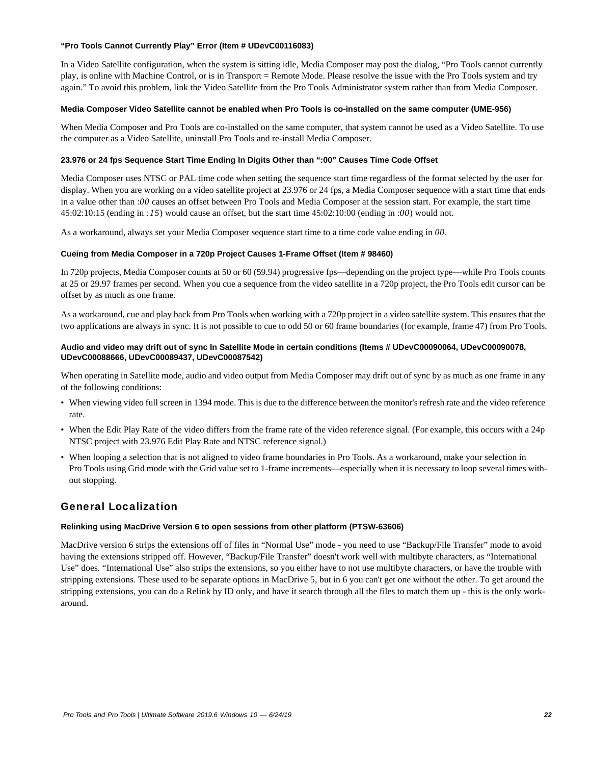#### **"Pro Tools Cannot Currently Play" Error (Item # UDevC00116083)**

In a Video Satellite configuration, when the system is sitting idle, Media Composer may post the dialog, "Pro Tools cannot currently play, is online with Machine Control, or is in Transport = Remote Mode. Please resolve the issue with the Pro Tools system and try again." To avoid this problem, link the Video Satellite from the Pro Tools Administrator system rather than from Media Composer.

#### **Media Composer Video Satellite cannot be enabled when Pro Tools is co-installed on the same computer (UME-956)**

When Media Composer and Pro Tools are co-installed on the same computer, that system cannot be used as a Video Satellite. To use the computer as a Video Satellite, uninstall Pro Tools and re-install Media Composer.

### **23.976 or 24 fps Sequence Start Time Ending In Digits Other than ":00" Causes Time Code Offset**

Media Composer uses NTSC or PAL time code when setting the sequence start time regardless of the format selected by the user for display. When you are working on a video satellite project at 23.976 or 24 fps, a Media Composer sequence with a start time that ends in a value other than :*00* causes an offset between Pro Tools and Media Composer at the session start. For example, the start time 45:02:10:15 (ending in *:15*) would cause an offset, but the start time 45:02:10:00 (ending in :*00*) would not.

As a workaround, always set your Media Composer sequence start time to a time code value ending in *00*.

#### **Cueing from Media Composer in a 720p Project Causes 1-Frame Offset (Item # 98460)**

In 720p projects, Media Composer counts at 50 or 60 (59.94) progressive fps—depending on the project type—while Pro Tools counts at 25 or 29.97 frames per second. When you cue a sequence from the video satellite in a 720p project, the Pro Tools edit cursor can be offset by as much as one frame.

As a workaround, cue and play back from Pro Tools when working with a 720p project in a video satellite system. This ensures that the two applications are always in sync. It is not possible to cue to odd 50 or 60 frame boundaries (for example, frame 47) from Pro Tools.

### **Audio and video may drift out of sync In Satellite Mode in certain conditions (Items # UDevC00090064, UDevC00090078, UDevC00088666, UDevC00089437, UDevC00087542)**

When operating in Satellite mode, audio and video output from Media Composer may drift out of sync by as much as one frame in any of the following conditions:

- When viewing video full screen in 1394 mode. This is due to the difference between the monitor's refresh rate and the video reference rate.
- When the Edit Play Rate of the video differs from the frame rate of the video reference signal. (For example, this occurs with a 24p NTSC project with 23.976 Edit Play Rate and NTSC reference signal.)
- When looping a selection that is not aligned to video frame boundaries in Pro Tools. As a workaround, make your selection in Pro Tools using Grid mode with the Grid value set to 1-frame increments—especially when it is necessary to loop several times without stopping.

# General Localization

#### **Relinking using MacDrive Version 6 to open sessions from other platform (PTSW-63606)**

MacDrive version 6 strips the extensions off of files in "Normal Use" mode - you need to use "Backup/File Transfer" mode to avoid having the extensions stripped off. However, "Backup/File Transfer" doesn't work well with multibyte characters, as "International Use" does. "International Use" also strips the extensions, so you either have to not use multibyte characters, or have the trouble with stripping extensions. These used to be separate options in MacDrive 5, but in 6 you can't get one without the other. To get around the stripping extensions, you can do a Relink by ID only, and have it search through all the files to match them up - this is the only workaround.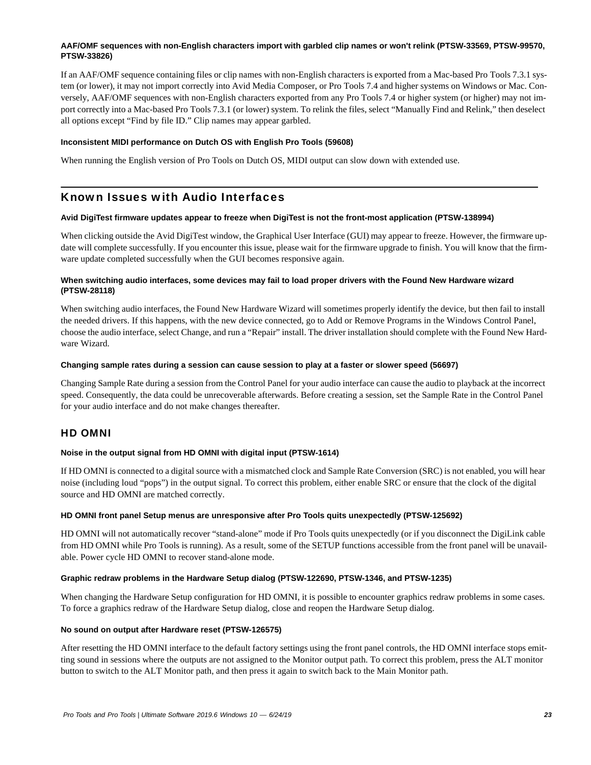# **AAF/OMF sequences with non-English characters import with garbled clip names or won't relink (PTSW-33569, PTSW-99570, PTSW-33826)**

If an AAF/OMF sequence containing files or clip names with non-English characters is exported from a Mac-based Pro Tools 7.3.1 system (or lower), it may not import correctly into Avid Media Composer, or Pro Tools 7.4 and higher systems on Windows or Mac. Conversely, AAF/OMF sequences with non-English characters exported from any Pro Tools 7.4 or higher system (or higher) may not import correctly into a Mac-based Pro Tools 7.3.1 (or lower) system. To relink the files, select "Manually Find and Relink," then deselect all options except "Find by file ID." Clip names may appear garbled.

#### **Inconsistent MIDI performance on Dutch OS with English Pro Tools (59608)**

When running the English version of Pro Tools on Dutch OS, MIDI output can slow down with extended use.

# Known Issues with Audio Interfaces

#### **Avid DigiTest firmware updates appear to freeze when DigiTest is not the front-most application (PTSW-138994)**

When clicking outside the Avid DigiTest window, the Graphical User Interface (GUI) may appear to freeze. However, the firmware update will complete successfully. If you encounter this issue, please wait for the firmware upgrade to finish. You will know that the firmware update completed successfully when the GUI becomes responsive again.

### **When switching audio interfaces, some devices may fail to load proper drivers with the Found New Hardware wizard (PTSW-28118)**

When switching audio interfaces, the Found New Hardware Wizard will sometimes properly identify the device, but then fail to install the needed drivers. If this happens, with the new device connected, go to Add or Remove Programs in the Windows Control Panel, choose the audio interface, select Change, and run a "Repair" install. The driver installation should complete with the Found New Hardware Wizard.

#### **Changing sample rates during a session can cause session to play at a faster or slower speed (56697)**

Changing Sample Rate during a session from the Control Panel for your audio interface can cause the audio to playback at the incorrect speed. Consequently, the data could be unrecoverable afterwards. Before creating a session, set the Sample Rate in the Control Panel for your audio interface and do not make changes thereafter.

# HD OMNI

# **Noise in the output signal from HD OMNI with digital input (PTSW-1614)**

If HD OMNI is connected to a digital source with a mismatched clock and Sample Rate Conversion (SRC) is not enabled, you will hear noise (including loud "pops") in the output signal. To correct this problem, either enable SRC or ensure that the clock of the digital source and HD OMNI are matched correctly.

# **HD OMNI front panel Setup menus are unresponsive after Pro Tools quits unexpectedly (PTSW-125692)**

HD OMNI will not automatically recover "stand-alone" mode if Pro Tools quits unexpectedly (or if you disconnect the DigiLink cable from HD OMNI while Pro Tools is running). As a result, some of the SETUP functions accessible from the front panel will be unavailable. Power cycle HD OMNI to recover stand-alone mode.

#### **Graphic redraw problems in the Hardware Setup dialog (PTSW-122690, PTSW-1346, and PTSW-1235)**

When changing the Hardware Setup configuration for HD OMNI, it is possible to encounter graphics redraw problems in some cases. To force a graphics redraw of the Hardware Setup dialog, close and reopen the Hardware Setup dialog.

#### **No sound on output after Hardware reset (PTSW-126575)**

After resetting the HD OMNI interface to the default factory settings using the front panel controls, the HD OMNI interface stops emitting sound in sessions where the outputs are not assigned to the Monitor output path. To correct this problem, press the ALT monitor button to switch to the ALT Monitor path, and then press it again to switch back to the Main Monitor path.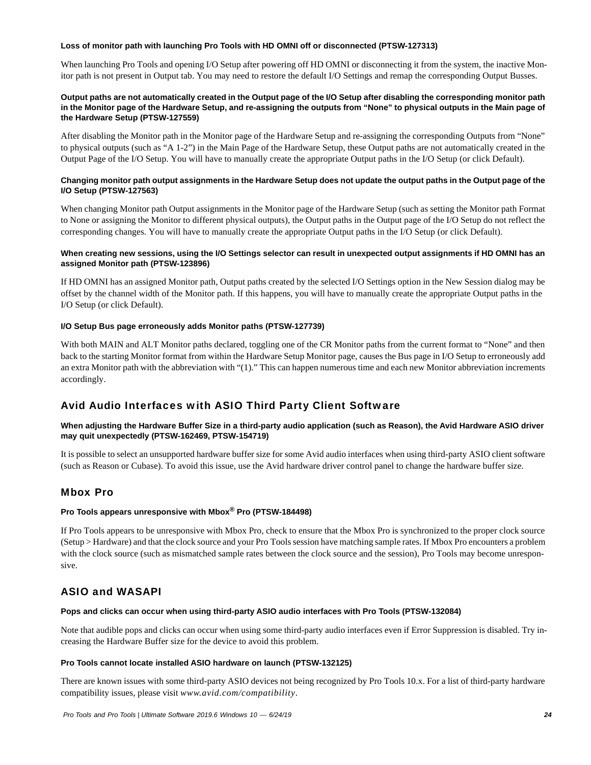### **Loss of monitor path with launching Pro Tools with HD OMNI off or disconnected (PTSW-127313)**

When launching Pro Tools and opening I/O Setup after powering off HD OMNI or disconnecting it from the system, the inactive Monitor path is not present in Output tab. You may need to restore the default I/O Settings and remap the corresponding Output Busses.

### **Output paths are not automatically created in the Output page of the I/O Setup after disabling the corresponding monitor path in the Monitor page of the Hardware Setup, and re-assigning the outputs from "None" to physical outputs in the Main page of the Hardware Setup (PTSW-127559)**

After disabling the Monitor path in the Monitor page of the Hardware Setup and re-assigning the corresponding Outputs from "None" to physical outputs (such as "A 1-2") in the Main Page of the Hardware Setup, these Output paths are not automatically created in the Output Page of the I/O Setup. You will have to manually create the appropriate Output paths in the I/O Setup (or click Default).

# **Changing monitor path output assignments in the Hardware Setup does not update the output paths in the Output page of the I/O Setup (PTSW-127563)**

When changing Monitor path Output assignments in the Monitor page of the Hardware Setup (such as setting the Monitor path Format to None or assigning the Monitor to different physical outputs), the Output paths in the Output page of the I/O Setup do not reflect the corresponding changes. You will have to manually create the appropriate Output paths in the I/O Setup (or click Default).

### **When creating new sessions, using the I/O Settings selector can result in unexpected output assignments if HD OMNI has an assigned Monitor path (PTSW-123896)**

If HD OMNI has an assigned Monitor path, Output paths created by the selected I/O Settings option in the New Session dialog may be offset by the channel width of the Monitor path. If this happens, you will have to manually create the appropriate Output paths in the I/O Setup (or click Default).

# **I/O Setup Bus page erroneously adds Monitor paths (PTSW-127739)**

With both MAIN and ALT Monitor paths declared, toggling one of the CR Monitor paths from the current format to "None" and then back to the starting Monitor format from within the Hardware Setup Monitor page, causes the Bus page in I/O Setup to erroneously add an extra Monitor path with the abbreviation with "(1)." This can happen numerous time and each new Monitor abbreviation increments accordingly.

# Avid Audio Interfaces with ASIO Third Party Client Software

# **When adjusting the Hardware Buffer Size in a third-party audio application (such as Reason), the Avid Hardware ASIO driver may quit unexpectedly (PTSW-162469, PTSW-154719)**

It is possible to select an unsupported hardware buffer size for some Avid audio interfaces when using third-party ASIO client software (such as Reason or Cubase). To avoid this issue, use the Avid hardware driver control panel to change the hardware buffer size.

# Mbox Pro

# **Pro Tools appears unresponsive with Mbox® Pro (PTSW-184498)**

If Pro Tools appears to be unresponsive with Mbox Pro, check to ensure that the Mbox Pro is synchronized to the proper clock source (Setup > Hardware) and that the clock source and your Pro Tools session have matching sample rates. If Mbox Pro encounters a problem with the clock source (such as mismatched sample rates between the clock source and the session), Pro Tools may become unresponsive.

# ASIO and WASAPI

#### **Pops and clicks can occur when using third-party ASIO audio interfaces with Pro Tools (PTSW-132084)**

Note that audible pops and clicks can occur when using some third-party audio interfaces even if Error Suppression is disabled. Try increasing the Hardware Buffer size for the device to avoid this problem.

#### **Pro Tools cannot locate installed ASIO hardware on launch (PTSW-132125)**

There are known issues with some third-party ASIO devices not being recognized by Pro Tools 10.x. For a list of third-party hardware compatibility issues, please visit *www.avid.com/compatibility*.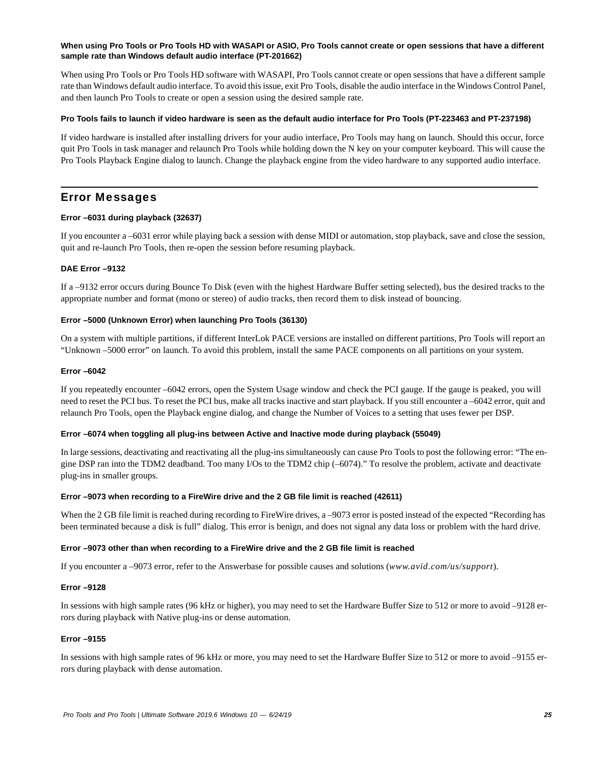### **When using Pro Tools or Pro Tools HD with WASAPI or ASIO, Pro Tools cannot create or open sessions that have a different sample rate than Windows default audio interface (PT-201662)**

When using Pro Tools or Pro Tools HD software with WASAPI, Pro Tools cannot create or open sessions that have a different sample rate than Windows default audio interface. To avoid this issue, exit Pro Tools, disable the audio interface in the Windows Control Panel, and then launch Pro Tools to create or open a session using the desired sample rate.

### **Pro Tools fails to launch if video hardware is seen as the default audio interface for Pro Tools (PT-223463 and PT-237198)**

If video hardware is installed after installing drivers for your audio interface, Pro Tools may hang on launch. Should this occur, force quit Pro Tools in task manager and relaunch Pro Tools while holding down the N key on your computer keyboard. This will cause the Pro Tools Playback Engine dialog to launch. Change the playback engine from the video hardware to any supported audio interface.

# Error Messages

# **Error –6031 during playback (32637)**

If you encounter a –6031 error while playing back a session with dense MIDI or automation, stop playback, save and close the session, quit and re-launch Pro Tools, then re-open the session before resuming playback.

# **DAE Error –9132**

If a –9132 error occurs during Bounce To Disk (even with the highest Hardware Buffer setting selected), bus the desired tracks to the appropriate number and format (mono or stereo) of audio tracks, then record them to disk instead of bouncing.

#### **Error –5000 (Unknown Error) when launching Pro Tools (36130)**

On a system with multiple partitions, if different InterLok PACE versions are installed on different partitions, Pro Tools will report an "Unknown –5000 error" on launch. To avoid this problem, install the same PACE components on all partitions on your system.

#### **Error –6042**

If you repeatedly encounter –6042 errors, open the System Usage window and check the PCI gauge. If the gauge is peaked, you will need to reset the PCI bus. To reset the PCI bus, make all tracks inactive and start playback. If you still encounter a –6042 error, quit and relaunch Pro Tools, open the Playback engine dialog, and change the Number of Voices to a setting that uses fewer per DSP.

#### **Error –6074 when toggling all plug-ins between Active and Inactive mode during playback (55049)**

In large sessions, deactivating and reactivating all the plug-ins simultaneously can cause Pro Tools to post the following error: "The engine DSP ran into the TDM2 deadband. Too many I/Os to the TDM2 chip (–6074)." To resolve the problem, activate and deactivate plug-ins in smaller groups.

#### **Error –9073 when recording to a FireWire drive and the 2 GB file limit is reached (42611)**

When the 2 GB file limit is reached during recording to FireWire drives, a -9073 error is posted instead of the expected "Recording has been terminated because a disk is full" dialog. This error is benign, and does not signal any data loss or problem with the hard drive.

#### **Error –9073 other than when recording to a FireWire drive and the 2 GB file limit is reached**

If you encounter a –9073 error, refer to the Answerbase for possible causes and solutions (*www.avid.com/us/support*).

#### **Error –9128**

In sessions with high sample rates (96 kHz or higher), you may need to set the Hardware Buffer Size to 512 or more to avoid –9128 errors during playback with Native plug-ins or dense automation.

# **Error –9155**

In sessions with high sample rates of 96 kHz or more, you may need to set the Hardware Buffer Size to 512 or more to avoid –9155 errors during playback with dense automation.